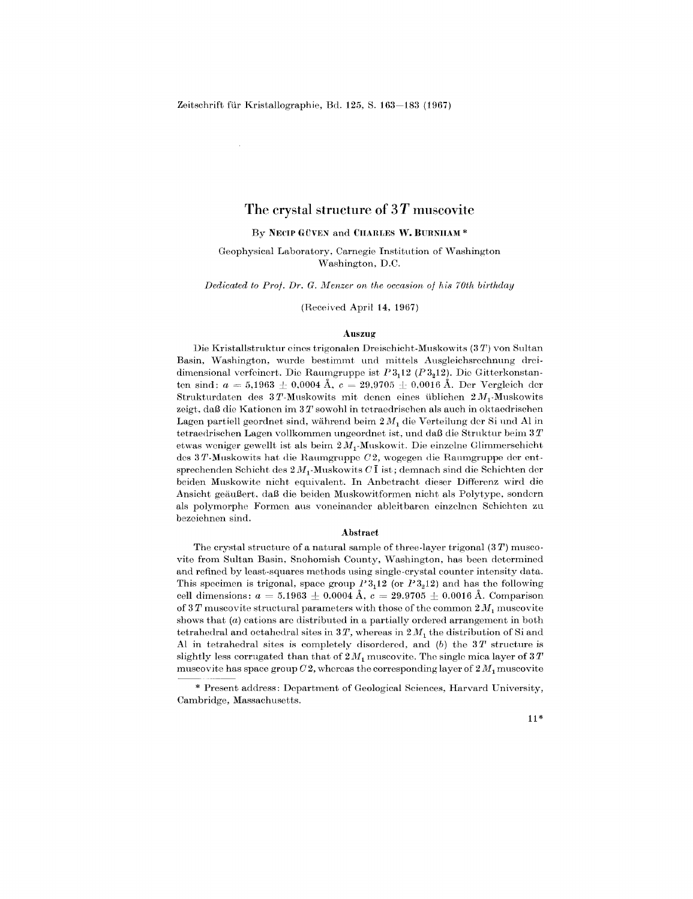$\alpha$ 

# **The crystal structure of 3** *T* **muscovite**

# $\mathbf{B}\mathbf{y}$  **NECIP GÜVEN** and **CHARLES**  $\mathbf{W}$ . BURNIIAM  $^*$

Geophysical Laboratory, Carnegie Institution of Washington Washington, D.C.

*Dedicated to P1'Of. Dr. G. 1vlenzer on the occasion of his 70th birthday*

(Received April 14, 1967)

#### **Auszug**

Die Kristallstruktur eines trigonalen Dreischicht-Muskowits (3T) von Sultan Basin, Washington, wurde bestimmt und mittels Ausgleichsrechnung dreidimensional vorfeinort. Die Ranmgruppe ist *P3112 (P3212).* Die Gitterkonstanten sind:  $a = 5{,}1963 \pm 0{,}0004$  Å,  $c = 29{,}9705 \pm 0{,}0016$  Å. Der Vergleich der Strukturdaten des 3T-Muskowits mit denen eines üblichen  $2M_1$ -Muskowits zeigt, daB die Kationen im 3 *T* sowohl in tetraedrischen als auch in oktaedrischen Lagen partiell geordnet sind, während beim  $2M_1$  die Verteilung der Si und Al in tetraedrischen Lagen vollkommen ungeordnet ist, und dal3 die Struktur beim 3 *T* etwas weniger gewellt ist als beim  $2M_1$ -Muskowit. Die einzelne Glimmerschicht des 3T-Muskowits hat die Raumgruppe  $C2$ , wogegen die Raumgruppe der entsprechenden Schicht des  $2 M_1$ -Muskowits  $C\overline{1}$  ist; demnach sind die Schichten der beiden Mnskowite nicht equivalent. In Anbetracht dieser Differenz wird die Ansicht geiiuBert, daB die beiden Muskowitformen nicht als Polytype, sondern als polymorphe Formen aus voneinander ableitbaren einzolnen Schichten zu bezeiehnen sind.

#### **Abstract**

The crystal strneture of a natural sample of three-layer trigonal (3 *T)* muscovite from Sultan Basin, Snohomish County, Washington, has been determined and refined by least-squares methods using single-crystal counter intensity data. This specimen is trigonal, space group  $P3,12$  (or  $P3,12$ ) and has the following cell dimensions:  $a = 5.1963 \pm 0.0004$  Å,  $c = 29.9705 \pm 0.0016$  Å. Comparis of  $3 T$  muscovite structural parameters with those of the common  $2 M_1$  muscovite shows that (*a*) cations are distributed in a partially ordered arrangement in both tetrahedral and octahedral sites in  $3 T$ , whereas in  $2 M_1$  the distribution of Si and Al in tetrahedral sites is completely disordered, and *(b)* the 3 *T* structure is slightly less corrugated than that of  $2M_1$  muscovite. The single mica layer of  $3T$ muscovite has space group  $C2$ , whereas the corresponding layer of  $2M_1$  muscovite

### 11\*

<sup>\*</sup> Present address: Department of Geological Sciences, Harvard University, Cambridge, Massachusetts.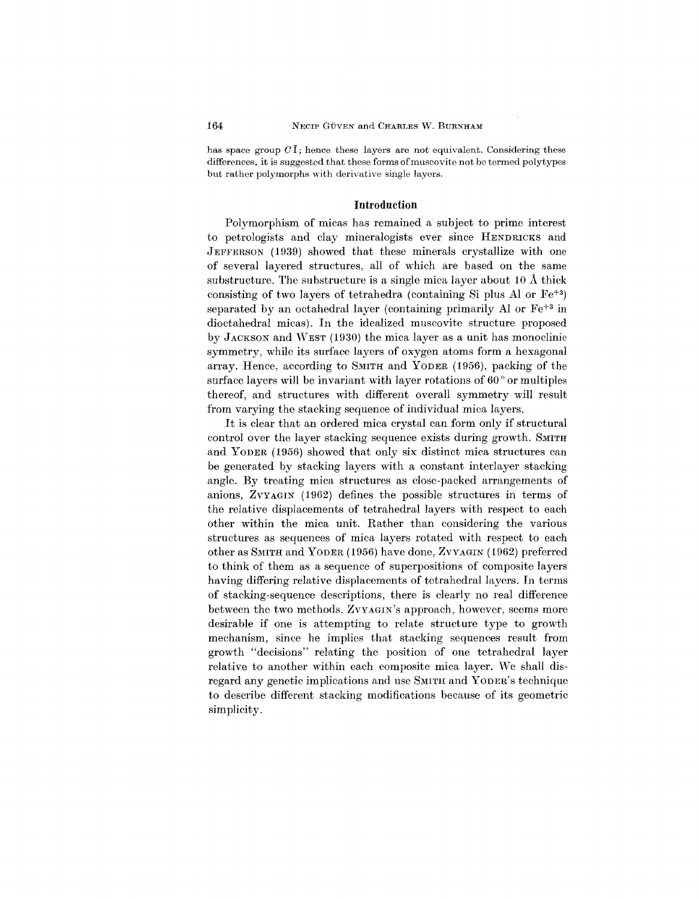has space group  $C\bar{\mathbf{I}}$ ; hence these layers are not equivalent. Considering these differences, it is suggested that these forms of muscovite not be termed polytypes but rather polymorphs with derivative single layers.

# **Introduction**

Polymorphism of micas has remained a subject to prime interest to petrologists and clay mineralogists ever since HENDRICKS and JEFFERSON (1939) showed that these minerals crystallize with one of several layered structures, all of which are based on the same substructure. The substructure is a single mica layer about 10 A thick consisting of two layers of tetrahedra (containing Si plus Al or  $Fe^{+3}$ ) separated by an octahedral layer (containing primarily Al or  $\mathrm{Fe^{+3}}$  in dioctahedral micas). **In** the idealized muscovite structure proposed by JACKSON and WEST (1930) the mica layer as a unit has monoclinic symmetry, while its surface layers of oxygen atoms form a hexagonal array. Hence, according to SMITH and YODER (1956), packing of the surface layers will be invariant with layer rotations of 60  $^{\circ}$  or multiple thereof, and structures with different overall symmetry will result from varying the stacking sequence of individual mica layers.

It is clear that an ordered mica crystal can form only if structural control over the layer stacking sequence exists during growth. SMITH and YODER (1956) showed that only six distinct mica structures can be generated by stacking layers with a constant interlayer stacking angle. By treating mica structures as close-packed arrangements of anions, ZVYAGIN (1962) defines the possible structures in terms of the relative displacements of tetrahedral layers with respect to each other within the mica unit. Rather than considering the various structures as sequences of mica layers rotated with respect to each other as SMITH and YODER (1956) have done, ZVYAGIN (1962) preferred to think of them as a sequence of superpositions of composite layers having differing relative displacements of tetrahedral layers. In terms of stacking-sequence descriptions, there is clearly no real difference between the two methods. ZVYAGIN's approach, however, seems more desirable if one is attempting to relate structure type to growth mechanism, since he implies that stacking sequences result from growth "decisions" relating the position of one tetrahedral layer relative to another within each composite mica layer. We shall disregard any genetic implications and use SMITH and YODER'S technique to describe different stacking modifications because of its geometric simplicity.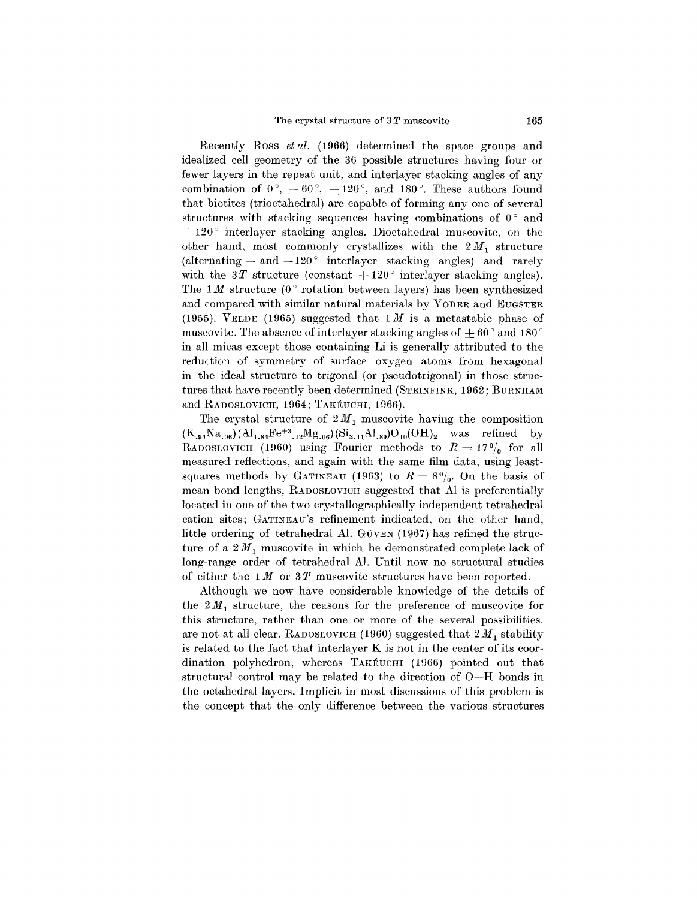Recently Ross *et al.* (1966) determined the space groups and idealized cell geometry of the 36 possible structures having four or fewer layers in the repeat unit, and interlayer stacking angles of any combination of  $0^{\circ}$ ,  $+60^{\circ}$ ,  $+120^{\circ}$ , and 180<sup>°</sup>. These authors found that biotites (trioctahedral) are capable of forming anyone of several structures with stacking sequences having combinations of  $0^{\circ}$  and  $+120^{\circ}$  interlayer stacking angles. Dioctahedral muscovite, on the other hand, most commonly crystallizes with the  $2M_1$  structure (alternating  $+$  and  $-120^{\circ}$  interlayer stacking angles) and rarely with the  $3T$  structure (constant  $+120^{\circ}$  interlayer stacking angles The 1*M* structure (0<sup>o</sup> rotation between layers) has been synthesized and compared with similar natural materials by YODER and EUGSTER (1955). VELDE (1965) suggested that *1M* is a metastable phase of muscovite. The absence of interlayer stacking angles of  $\pm 60^{\circ}$  and 180  $^{\circ}$ in all micas except those containing Li is generally attributed to the reduction of symmetry of surface oxygen atoms from hexagonal in the ideal structure to trigonal (or pseudotrigonal) in those structures that have recently been determined (STEINFINK, 1962; BURNHAM and RADOSLOVICH, 1964; TAKÉUCHI, 1966).

The crystal structure of  $2M_1$  muscovite having the composition  $(K_{.94}Na_{.06}) (Al_{1.84}Fe^{+3}._{12}Mg_{.06}) (Si_{3.11}Al_{.89})O_{10}(OH)_2$  was refined by RADOSLOVICH (1960) using Fourier methods to  $R = 17\frac{0}{0}$  for all measured reflections, and again with the same film data, using leastsquares methods by GATINEAU (1963) to  $R = 8\%$ . On the basis of mean bond lengths, RADOSLOVICH suggested that Al is preferentially located in one of the two crystallographically independent tetrahedral cation sites; GATINEAU'S refinement indicated, on the other hand, little ordering of tetrahedral Al. GÜVEN  $(1967)$  has refined the structure of a  $2M_1$  muscovite in which he demonstrated complete lack of long-range order of tetrahedral AI. Until now no structural studies of either the  $1 M$  or  $3 T$  muscovite structures have been reported.

Although we now have considerable knowledge of the details of the  $2M_1$  structure, the reasons for the preference of muscovite for this structure, rather than one or more of the several possibilities, are not at all clear. RADOSLOVICH (1960) suggested that  $2M_1$  stability is related to the fact that interlayer K is not in the center of its coordination polyhedron, whereas TAKEUCHI (1966) pointed out that structural control may be related to the direction of O-H bonds in the octahedral layers. Implicit in most discussions of this problem is the concept that the only difference between the various structures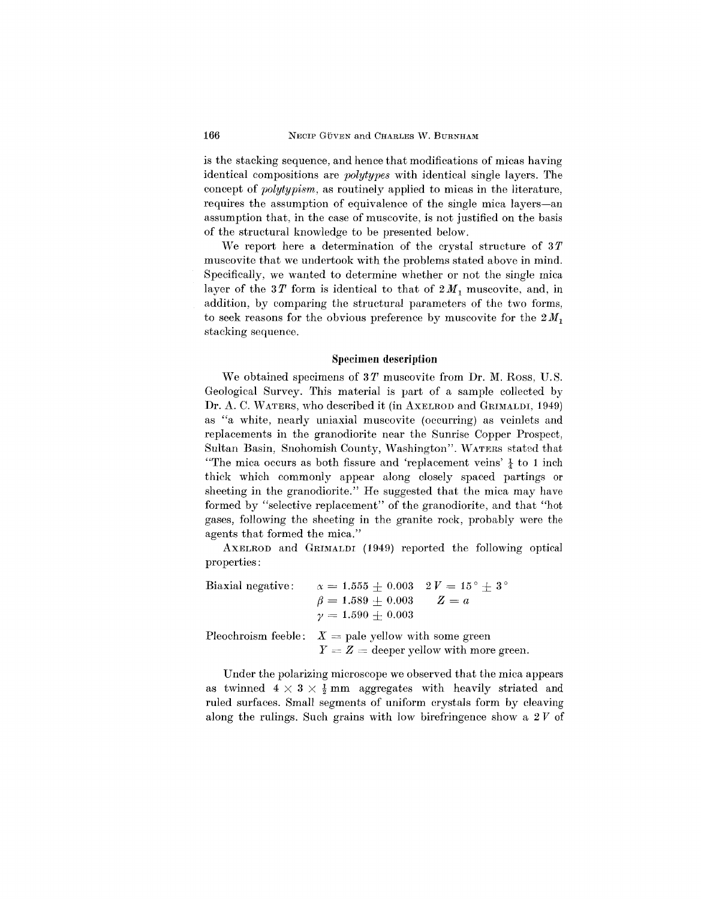is the stacking sequence, and hence that modifications of micas having identical compositions are *polytypes* with identical single layers. The concept of *polytypism,* as routinely applied to micas in the literature, requires the assumption of equivalence of the single mica layers-an assumption that, in the case of muscovite, is not justified on the basis of the structural knowledge to be presented below.

We report here a determination of the crystal structure of *3T* muscovite that we undertook with the problems stated above in mind. Specifically, we wanted to determine whether or not the single mica layer of the  $3T$  form is identical to that of  $2M_1$  muscovite, and, in addition, by comparing the structural parameters of the two forms, to seek reasons for the obvious preference by muscovite for the  $2M_1$ stacking sequence.

#### **Specimen description**

We obtained specimens of *3T* muscovite from Dr. M. Ross, U.S. Geological Survey. This material is part of a sample collected by Dr. A. C. WATERS, who described it (in AXELROD and GRIMALDI, 1949) as "a white, nearly uniaxial muscovite (occurring) as veinlets and replacements in the granodiorite near the Sunrise Copper Prospect, Sultan Basin, Snohomish County, Washington". WATERS stated that "The mica occurs as both fissure and 'replacement veins'  $\frac{1}{4}$  to 1 inch thick which commonly appear along closely spaced partings or sheeting in the granodiorite." He suggested that the mica may have formed by "selective replacement" of the granodiorite, and that "hot gases, following the sheeting in the granite rock, probably were the agents that formed the mica."

AXELROD and GRIMALDI (1949) reported the following optical properties:

Biaxial negative:  $\alpha = 1.555 \pm 0.003$   $2V = 15^{\circ} \pm 3^{\circ}$  $\beta=1.589 \pm 0.003$  $Z = a$  $\gamma = 1.590 \pm 0.003$ Pleochroism feeble:  $X =$  pale yellow with some green  $Y = Z =$  deeper yellow with more green.

Under the polarizing microscope we observed that the mica appears as twinned  $4 \times 3 \times \frac{1}{2}$  mm aggregates with heavily striated and ruled surfaces. Small segments of uniform crystals form by cleaving

along the rulings. Such grains with low birefringence show a  $2 V$  of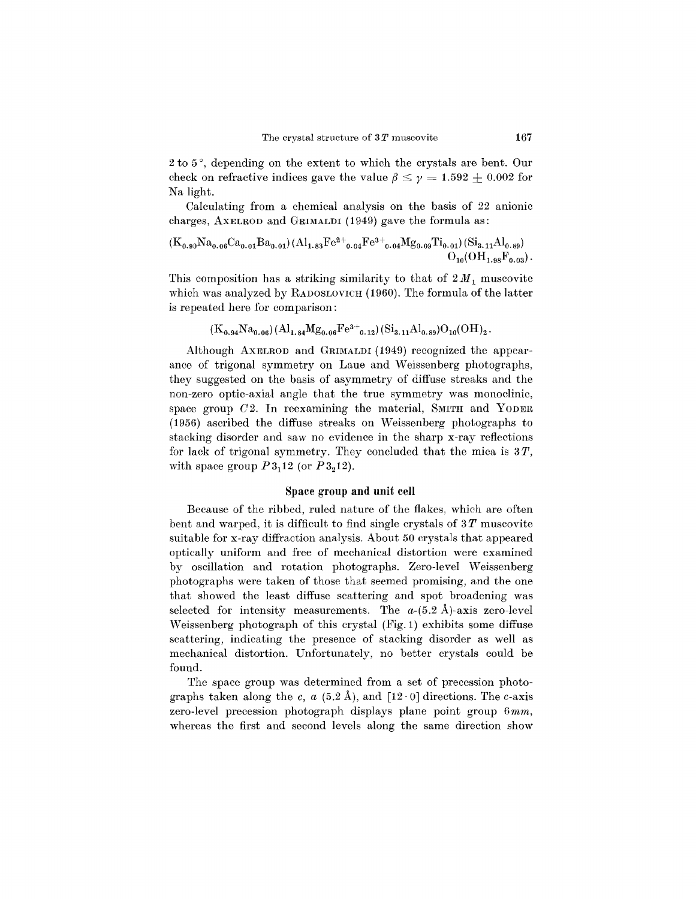$2$  to  $5^\circ$ , depending on the extent to which the crystals are bent. Our check on refractive indices gave the value  $\beta \leq \gamma = 1.592 + 0.002$  for Na light.

Calculating from a chemical analysis on the basis of 22 anionic charges, AXELROD and GRIMALDI (1949) gave the formula as:

$$
(K_{0.90}Na_{0.06}Ca_{0.01}Ba_{0.01})(Al_{1.83}Fe^{2+}{}_{0.04}Fe^{3+}{}_{0.04}Mg_{0.09}Ti_{0.01})(Si_{3.11}Al_{0.89})
$$
  

$$
O_{10}(OH_{1.98}F_{0.03}).
$$

This composition has a striking similarity to that of  $2M_1$  muscovite which was analyzed by RADOSLOVICH (1960). The formula of the latter is repeated here for comparison:

$$
(K_{0.94}Na_{0.06})(Al_{1.84}Mg_{0.06}Fe^{3+}_{0.12})(Si_{3.11}Al_{0.89})O_{10}(OH)_{2}.
$$

Although AXELROD and GRIMALDI(1949) recognized the appearance of trigonal symmetry on Laue and Weissenberg photographs, they suggested on the basis of asymmetry of diffuse streaks and the non-zero optic-axial angle that the true symmetry was monoclinic, space group  $C2$ . In reexamining the material, SMITH and YODER (1956) ascribed the diffuse streaks on Weissenberg photographs to stacking disorder and saw no evidence in the sharp x-ray reflections for lack of trigonal symmetry. They concluded that the mica is *3T,* with space group  $P3_112$  (or  $P3_212$ ).

## Space group and unit cell

Because of the ribbed, ruled nature of the flakes, which are often bent and warped, it is difficult to find single crystals of 3 *T* muscovite suitable for x-ray diffraction analysis. About 50 crystals that appeared optically uniform and free of mechanical distortion were examined by oscillation and rotation photographs. Zero-level Weissenberg photographs were taken of those that seemed promising, and the one that showed the least diffuse scattering and spot broadening was selected for intensity measurements. The  $a-(5.2 \text{ Å})$ -axis zero-level Weissenberg photograph of this crystal (Fig. 1) exhibits some diffuse scattering, indicating the presence of stacking disorder as well as mechanical distortion. Unfortunately, no better crystals could be found.

The space group was determined from a set of precession photographs taken along the c,  $a(5.2 \text{ Å})$ , and  $[12 \cdot 0]$  directions. The c-axis zero-level precession photograph displays plane point group *6mm,* whereas the first and second levels along the same direction show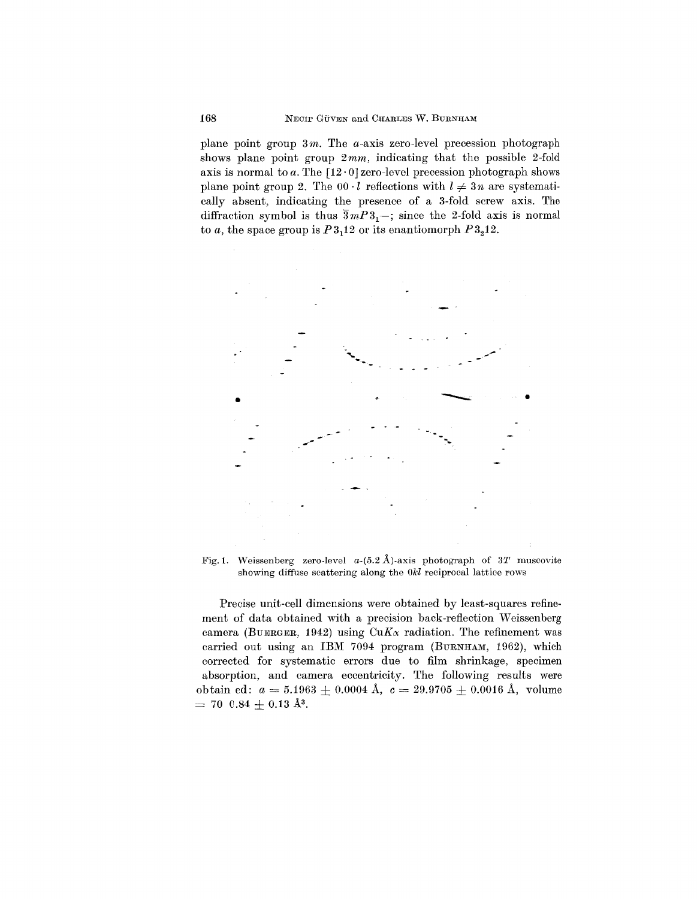plane point group *3m.* The a-axis zero-level precession photograph shows plane point group *2mm,* indicating that the possible 2-fold axis is normal to  $a$ . The  $[12 \cdot 0]$  zero-level precession photograph shows plane point group 2. The  $00 \cdot l$  reflections with  $l \neq 3n$  are systematically absent, indicating the presence of a 3-fold screw axis. The diffraction symbol is thus  $\overline{3}mP3_1$ ; since the 2-fold axis is normal to *a*, the space group is  $P3<sub>1</sub>12$  or its enantiomorph  $P3<sub>2</sub>12$ .



Fig.1. Weissenberg zero-level *a-(5.2* A)-axis photograph of *3T* muscovite showing diffuse scattering along the *Okl* reciprocal lattice rows

Precise unit-cell dimensions were obtained by least-squares refinement of data obtained with a precision back-reflection Weissenberg camera (BUERGER, 1942) using  $CuK_{\alpha}$  radiation. The refinement was carried out using an IBM 7094 program (BURNHAM, 1962), which corrected for systematic errors due to film shrinkage, specimen absorption, and camera eccentricity. The following results were  $\text{obtain ed: } a = 5.1963 \pm 0.0004 \text{ Å}, \text{ } c = 29.9705 \pm 0.0016 \text{ Å}, \text{ volume}$  $= 70 \text{ } 0.84 \pm 0.13 \text{ A}^3.$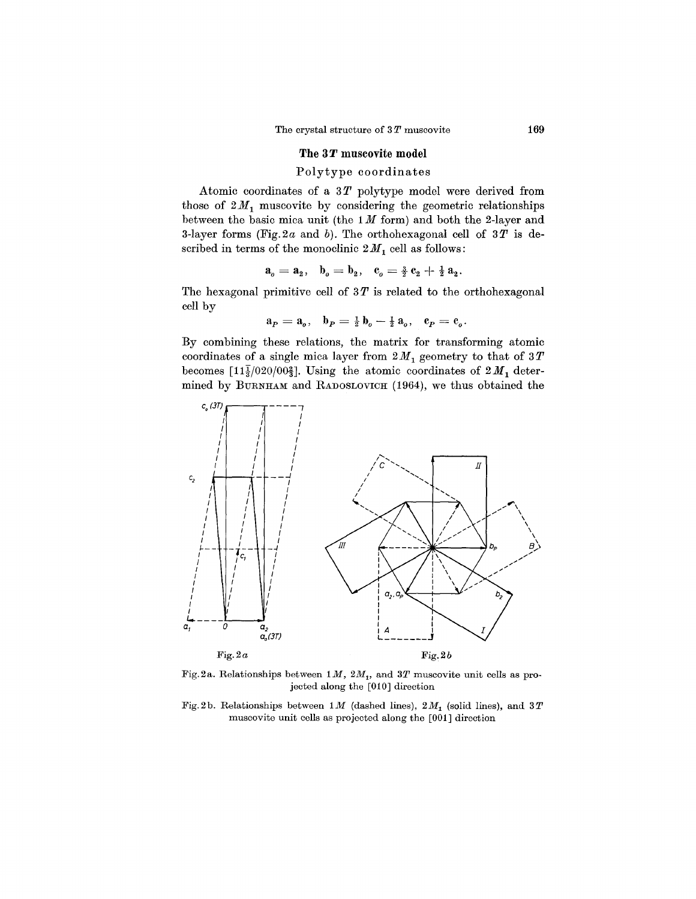#### **The 3** *T* muscovite **model**

# Polytype coordinates

Atomic coordinates of a *3T* polytype model were derived from those of  $2M_1$  muscovite by considering the geometric relationships between the basic mica unit (the 1*M* form) and both the 2-layer and 3-layer forms (Fig.2a and *b).* The orthohexagonal cell of *3T* is described in terms of the monoclinic  $2\,M_1$  cell as follows

$$
a_o = a_2, \quad b_o = b_2, \quad c_o = \frac{3}{2} c_2 + \frac{1}{2} a_2.
$$

The hexagonal primitive cell of  $3T$  is related to the orthohexagonal cell by

$$
a_P = a_o, \quad b_P = \frac{1}{2} b_o - \frac{1}{2} a_o, \quad c_P = c_o.
$$

By combining these relations, the matrix for transforming atomic coordinates of a single mica layer from  $2M_1$  geometry to that of  $3T$ becomes [ $11\frac{1}{3}/020/00\frac{2}{3}$ ]. Using the atomic coordinates of  $2M_1$  determined by BURNHAM and RADOSLOVICH (1964), we thus obtained the



Fig.2a. Relationships between  $1 M$ ,  $2 M<sub>1</sub>$ , and  $3 T$  muscovite unit cells as projected along the [010] direction

Fig.2b. Relationships between  $1 M$  (dashed lines),  $2 M_1$  (solid lines), and  $3 T$ muscovite unit cells as projected along the [001] direction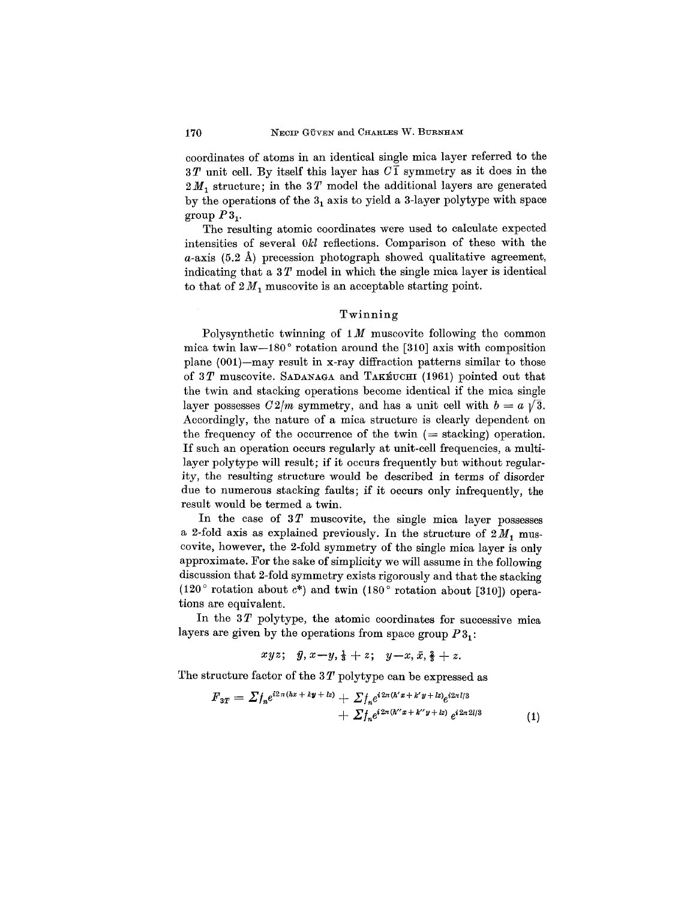coordinates of atoms in an identical single mica layer referred to the  $3T$  unit cell. By itself this layer has  $C\overline{1}$  symmetry as it does in the 2M<sub>1</sub> structure; in the 3T model the additional layers are generated by the operations of the  $3<sub>1</sub>$  axis to yield a 3-layer polytype with space group  $P3_1$ .

The resulting atomic coordinates were used to calculate expected intensities of several *Okl* reflections. Comparison of these with the  $a$ -axis (5.2 Å) precession photograph showed qualitative agreement, indicating that a 3 *T* model in which the single mica layer is identical to that of  $2M_1$  muscovite is an acceptable starting point.

### Twinning

Polysynthetic twinning of 1*M* muscovite following the common mica twin law-180° rotation around the [310] axis with composition plane (001)-may result in x-ray diffraction patterns similar to those of 3T muscovite. SADANAGA and TAKEUCHI (1961) pointed out that the twin and stacking operations become identical if the mica single layer possesses  $C2/m$  symmetry, and has a unit cell with  $b = a \sqrt{3}$ . Accordingly, the nature of a mica structure is clearly dependent on the frequency of the occurrence of the twin  $($  = stacking) operation. If such an operation occurs regularly at unit-cell frequencies, a multilayer polytype will result; if it occurs frequently but without regularity, the resulting structure would be described in terms of disorder due to numerous stacking faults; if it occurs only infrequently, the result would be termed a twin.

In the case of 3T muscovite, the single mica layer possesses a 2-fold axis as explained previously. In the structure of  $2M_1$  muscovite, however, the 2-fold symmetry of the single mica layer is only approximate. For the sake of simplicity we will assume in the following discussion that 2-fold symmetry exists rigorously and that the stacking (120° rotation about *c\*)* and twin (180° rotation about [310]) operations are equivalent.

In the 3T polytype, the atomic coordinates for successive mica layers are given by the operations from space group  $P3_1$ :

$$
xyz; \quad \bar{y}, x-y, \frac{1}{3}+z; \quad y-x, \bar{x}, \frac{2}{3}+z.
$$

The structure factor of the 3 *T* polytype can be expressed as

$$
F_{3T} = \sum f_n e^{i2\pi(hx + k\bm{y} + kz)} + \sum f_n e^{i2\pi(h'x + k'y + kz)} e^{i2\pi l/3} + \sum f_n e^{i2\pi(h''x + k''y + iz)} e^{i2\pi 2l/3}
$$
(1)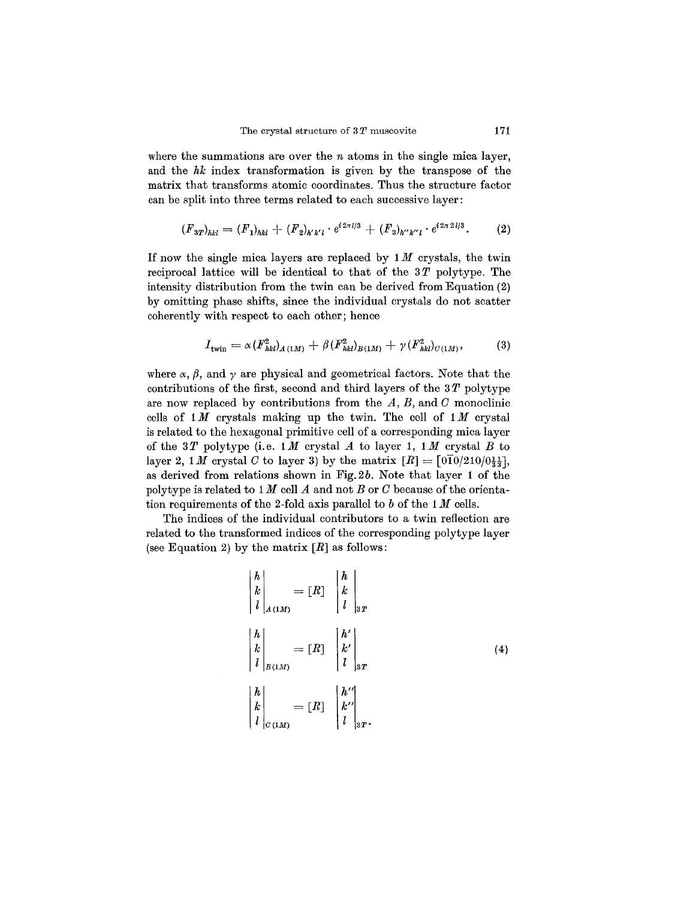where the summations are over the *n* atoms in the single mica layer, and the *hk* index transformation is given by the transpose of the matrix that transforms atomic coordinates. Thus the structure factor can be split into three terms related to each successive layer:

$$
(F_{3T})_{hkl} = (F_1)_{hkl} + (F_2)_{h'k'l} \cdot e^{i2\pi l/3} + (F_3)_{h''k''l} \cdot e^{i2\pi 2l/3}.
$$
 (2)

If now the single mica layers are replaced by 1*M* crystals, the twin reciprocal lattice will be identical to that of the  $3T$  polytype. The intensity distribution from the twin can be derived from Equation (2) by omitting phase shifts, since the individual crystals do not scatter coherently with respect to each other; hence

$$
I_{\text{twin}} = \alpha (F_{hkl}^2)_{A(1M)} + \beta (F_{hkl}^2)_{B(1M)} + \gamma (F_{hkl}^2)_{C(1M)},\tag{3}
$$

where  $\alpha$ ,  $\beta$ , and  $\gamma$  are physical and geometrical factors. Note that the contributions of the first, second and third layers of the 3 *T* polytype are now replaced by contributions from the  $A$ ,  $B$ , and  $C$  monoclinic cells of 1*M* crystals making up the twin. The cell of 1*M* crystal is related to the hexagonal primitive cell of a corresponding mica layer of the *3T* polytype (i.e. *1M* crystal *A* to layer **1,** *1M* crystal *B* to layer 2, 1 *M* crystal *C* to layer 3) by the matrix  $[R] = \left[0\frac{1}{2}0/210/0\frac{11}{23}\right]$ , as derived from relations shown in Fig.2b. Note that layer 1 of the polytype is related to  $1 M$  cell  $A$  and not  $B$  or  $C$  because of the orientation requirements of the 2-fold axis parallel to *b* of the 1*M* cells.

The indices of the individual contributors to a twin reflection are related to the transformed indices of the corresponding polytype layer (see Equation 2) by the matrix *[R]* as follows:

$$
\begin{vmatrix} h \\ k \\ l \end{vmatrix}_{A(1M)} = [R] \begin{vmatrix} h \\ k \\ l \end{vmatrix}_{3T}
$$

$$
\begin{vmatrix} h \\ k \\ l \end{vmatrix}_{B(1M)} = [R] \begin{vmatrix} h' \\ k' \\ l \end{vmatrix}_{3T}
$$

$$
\begin{vmatrix} h \\ k \\ l \end{vmatrix}_{C(1M)} = [R] \begin{vmatrix} h'' \\ k'' \\ l \end{vmatrix}_{3T}.
$$
 (4)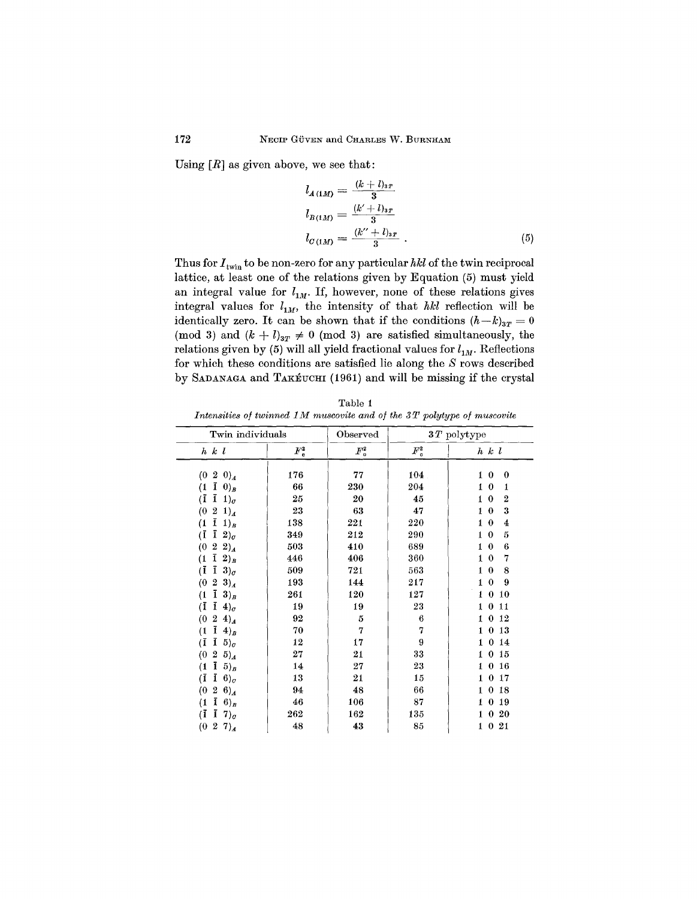Using  $[R]$  as given above, we see that:

$$
l_{A(1M)} = \frac{(k+l)_{3T}}{3}
$$
  
\n
$$
l_{B(1M)} = \frac{(k'+l)_{3T}}{3}
$$
  
\n
$$
l_{C(1M)} = \frac{(k''+l)_{3T}}{3}
$$
 (5)

Thus for  $I_{\text{twin}}$  to be non-zero for any particular  $hkl$  of the twin reciprocal lattice, at least one of the relations given by Equation (5) must yield an integral value for  $l_{1M}$ . If, however, none of these relations gives integral values for  $l_{1M}$ , the intensity of that *hkl* reflection will be identically zero. It can be shown that if the conditions  $(h-k)_{3T} = 0$ (mod 3) and  $(k + l)_{3T} \neq 0$  (mod 3) are satisfied simultaneously, the relations given by (5) will all yield fractional values for  $l_{1M}$ . Reflections for which these conditions are satisfied lie along the *S* rows described by SADANAGA and TAKÉUCHI (1961) and will be missing if the crystal

| Table 1                                                                 |  |  |  |  |  |  |
|-------------------------------------------------------------------------|--|--|--|--|--|--|
| Intensities of twinned 1M muscovite and of the 3T polytype of muscovite |  |  |  |  |  |  |

| Twin individuals                                 |               | Observed      | $3 \, T$ polytype |                                   |  |
|--------------------------------------------------|---------------|---------------|-------------------|-----------------------------------|--|
| $h \, k \, l$                                    | $F_{\rm c}^2$ | $F^2_{\rm o}$ | $F_{\rm c}^2$     | $h \; k \; l$                     |  |
| (0)<br>$2 \; 0)_A$                               | 176           | 77            | 104               | $\bf{0}$<br>$\bf{0}$<br>1         |  |
| ī<br>$(0)_B$<br>(1                               | 66            | 230           | 204               | $\bf{0}$<br>1<br>1                |  |
| ī<br>(Ī<br>$1)_q$                                | 25            | 20            | 45                | $\bf{0}$<br>$\overline{2}$<br>1   |  |
| $\boldsymbol{2}$<br>$\left( 0 \right)$<br>$1)_A$ | 23            | 63            | 47                | 3<br>$\bf{0}$<br>1                |  |
| ī<br>(1)<br>$1)_B$                               | 138           | 221           | 220               | $\bf{0}$<br>1<br>4                |  |
| ī<br>(Ī<br>$2)_c$                                | 349           | 212           | 290               | 5<br>$\mathbf{0}$<br>$\mathbf{1}$ |  |
| $\boldsymbol{2}$<br>(0)<br>$2)_{A}$              | 503           | 410           | 689               | $\bf{0}$<br>6<br>1                |  |
| ī<br>(1)<br>$2)_B$                               | 446           | 406           | 360               | $\bf{0}$<br>7<br>$\mathbf{1}$     |  |
| $\bar{1}$ 3) $\sigma$<br>(Ī                      | 509           | 721           | 563               | $\bf{0}$<br>8<br>1                |  |
| $\mathbf{2}^-$<br>$3)_4$<br>(0)                  | 193           | 144           | 217               | $\mathbf{0}$<br>9<br>$\mathbf 1$  |  |
| $3)_B$<br>ī<br>(1)                               | 261           | 120           | 127               | $\bf{0}$<br>10<br>1               |  |
| ī<br>$\mathbf{I}$<br>$4)_c$                      | 19            | 19            | 23                | $\bf{0}$<br>11<br>1               |  |
| $\boldsymbol{2}$<br>(0)<br>$\langle 4 \rangle_A$ | 92            | 5             | 6                 | 12<br>1<br>0                      |  |
| ī<br>(1)<br>$(4)$ <sub>B</sub>                   | 70            | 7             | 7                 | 13<br>1<br>$\Omega$               |  |
| Ī<br>$\mathbf{I}$<br>$5)_c$                      | 12            | 17            | 9                 | 14<br>0<br>1                      |  |
| $\bf{2}$<br>(0)<br>$5)_{A}$                      | 27            | 21            | 33                | 15<br>1<br>0                      |  |
| ī<br>$5)$ <sub>B</sub><br>(1)                    | 14            | 27            | 23                | 16<br>0<br>1                      |  |
| (Ī<br>$\mathbf{I}$<br>$6)_c$                     | 13            | 21            | 15                | $\theta$<br>17<br>1               |  |
| $\,2$<br>$6)_{A}$<br>(0)                         | 94            | 48            | 66                | $\bf{0}$<br>18<br>$\mathbf{1}$    |  |
| ī<br>$(6)_B$<br>(1                               | 46            | 106           | 87                | 19<br>$\bf{0}$<br>1               |  |
| ī<br>4<br>$7)$ <sub>o</sub>                      | 262           | 162           | 135               | $\bf{0}$<br>20<br>1               |  |
| 2 7) $_A$<br>$\left( 0 \right)$                  | 48            | 43            | 85                | 021<br>1                          |  |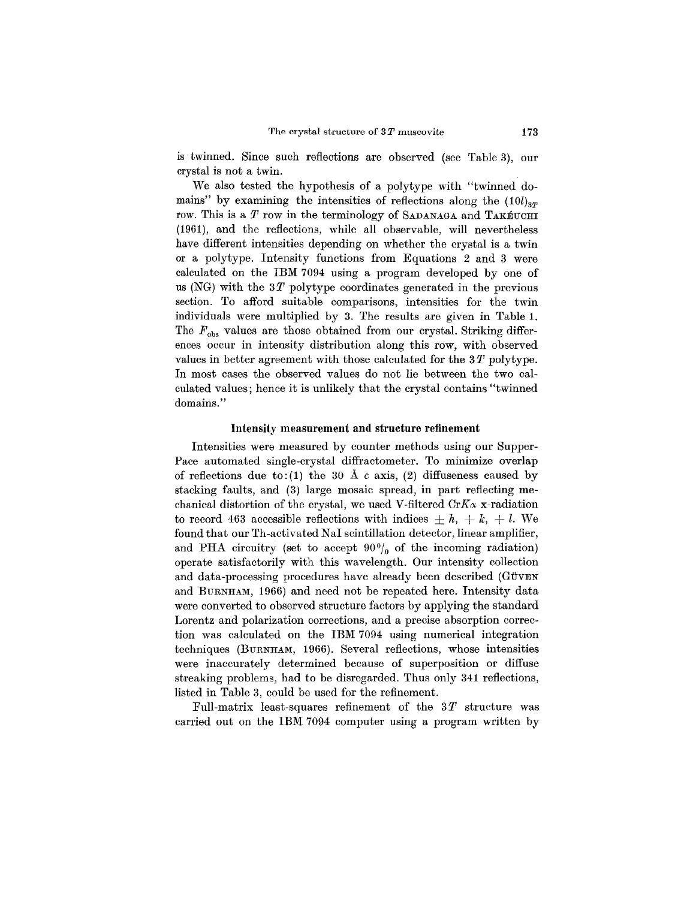is twinned. Since such reflections are observed (see Table 3), our crystal is not a twin.

We also tested the hypothesis of a polytype with "twinned domains" by examining the intensities of reflections along the  $(10l)_{3T}$ row. This is a *T* row in the terminology of SADANAGA and TAKÉUCHI (1961), and the reflections, while all observable, will nevertheless have different intensities depending on whether the crystal is a twin or a polytype. Intensity functions from Equations 2 and 3 were calculated on the IBM 7094 using a program developed by one of us (NG) with the *3T* polytype coordinates generated in the previous section. To afford suitable comparisons, intensities for the twin individuals were multiplied by 3. The results are given in Table 1. The  $F_{obs}$  values are those obtained from our crystal. Striking differences occur in intensity distribution along this row, with observed values in better agreement with those calculated for the 3 *T* polytype. In most cases the observed values do not lie between the two calculated values; hence it is unlikely that the crystal contains "twinned domains."

#### Intensity measurement **and** structure refinement

Intensities were measured by counter methods using our Supper-Pace automated single-crystal diffractometer. To minimize overlap of reflections due to: (1) the 30  $\AA$  *c* axis, (2) diffuseness caused by stacking faults, and (3) large mosaic spread, in part reflecting mechanical distortion of the crystal, we used V-filtered  $CrK_{\alpha}$  x-radiation to record 463 accessible reflections with indices  $\pm h$ ,  $+ k$ ,  $+ l$ . We found that our Th-activated NaI scintillation detector, linear amplifier, and PHA circuitry (set to accept  $90<sup>0</sup>/<sub>0</sub>$  of the incoming radiation) operate satisfactorily with this wavelength. Our intensity collection and data-processing procedures have already been described (GÜVEN and BURNHAM, 1966) and need not be repeated here. Intensity data were converted to observed structure factors by applying the standard Lorentz and polarization corrections, and a precise absorption correction was calculated on the IBM 7094 using numerical integration techniques (BURNHAM, 1966). Several reflections, whose intensities were inaccurately determined because of superposition or diffuse streaking problems, had to be disregarded. Thus only 341 reflections, listed in Table 3, could be used for the refinement.

Full-matrix least-squares refinement of the *3T* structure was carried out on the IBM 7094 computer using a program written by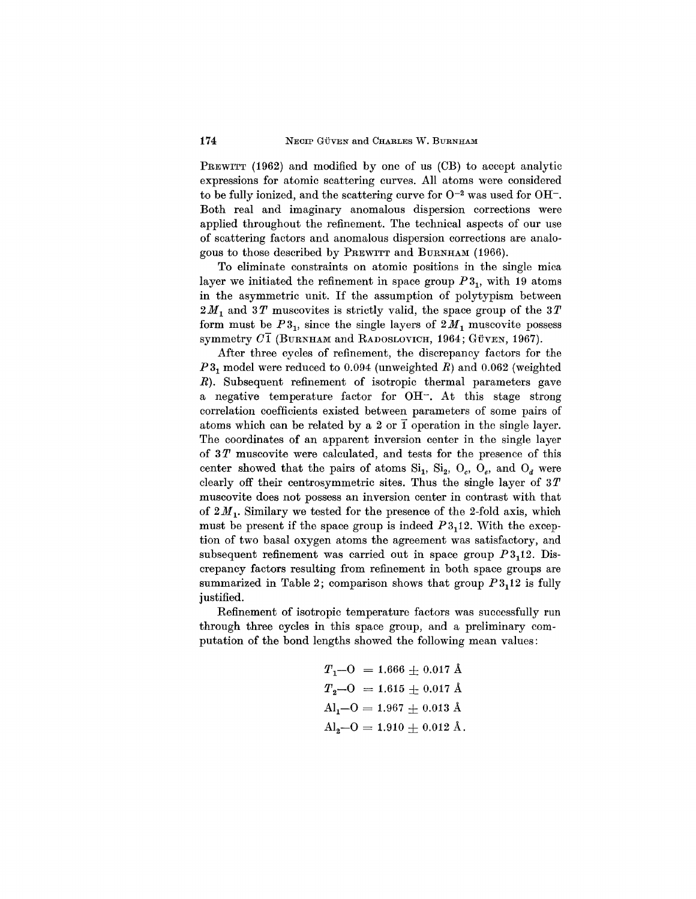PREWITT (1962) and modified by one of us (CB) to accept analytic expressions for atomic scattering curves. All atoms were considered to be fully ionized, and the scattering curve for  $O^{-2}$  was used for  $OH^-$ . Both real and imaginary anomalous dispersion corrections were applied throughout the refinement. The technical aspects of our use of scattering factors and anomalous dispersion corrections are analogous to those described by PREWITT and BURNHAM(1966).

To eliminate constraints on atomic positions in the single mica layer we initiated the refinement in space group  $P_3$ , with 19 atoms in the asymmetric unit. If the assumption of polytypism between *2M1* and *3T* muscovites is strictly valid, the space group of the *3T* form must be  $P3_1$ , since the single layers of  $2M_1$  muscovite possess symmetry  $C\overline{1}$  (BURNHAM and RADOSLOVICH, 1964; GÜVEN, 1967).

After three cycles of refinement, the discrepancy factors for the P<sub>3</sub><sub>1</sub> model were reduced to 0.094 (unweighted R) and 0.062 (weighted *R).* Subsequent refinement of isotropic thermal parameters gave a negative temperature factor for OR-. At this stage strong correlation coefficients existed between parameters of some pairs of atoms which can be related by a 2 or  $\overline{1}$  operation in the single layer. The coordinates of an apparent inversion center in the single layer of 3 *T* muscovite were calculated, and tests for the presence of this center showed that the pairs of atoms  $Si_1$ ,  $Si_2$ ,  $O_c$ ,  $O_e$ , and  $O_d$  were clearly off their centrosymmetric sites. Thus the single layer of 3*T* muscovite does not possess an inversion center in contrast with that of  $2M_1$ . Similary we tested for the presence of the 2-fold axis, which must be present if the space group is indeed  $P3<sub>1</sub>12$ . With the exception of two basal oxygen atoms the agreement was satisfactory, and subsequent refinement was carried out in space group *P3112.* Discrepancy factors resulting from refinement in both space groups are summarized in Table 2; comparison shows that group  $P3<sub>1</sub>12$  is fully justified.

Refinement of isotropic temperature factors was successfully run through three cycles in this space group, and a preliminary computation of the bond lengths showed the following mean values:

$$
T_1 - O = 1.666 \pm 0.017 \text{ Å}
$$
  
\n
$$
T_2 - O = 1.615 \pm 0.017 \text{ Å}
$$
  
\n
$$
Al_1 - O = 1.967 \pm 0.013 \text{ Å}
$$
  
\n
$$
Al_2 - O = 1.910 \pm 0.012 \text{ Å}.
$$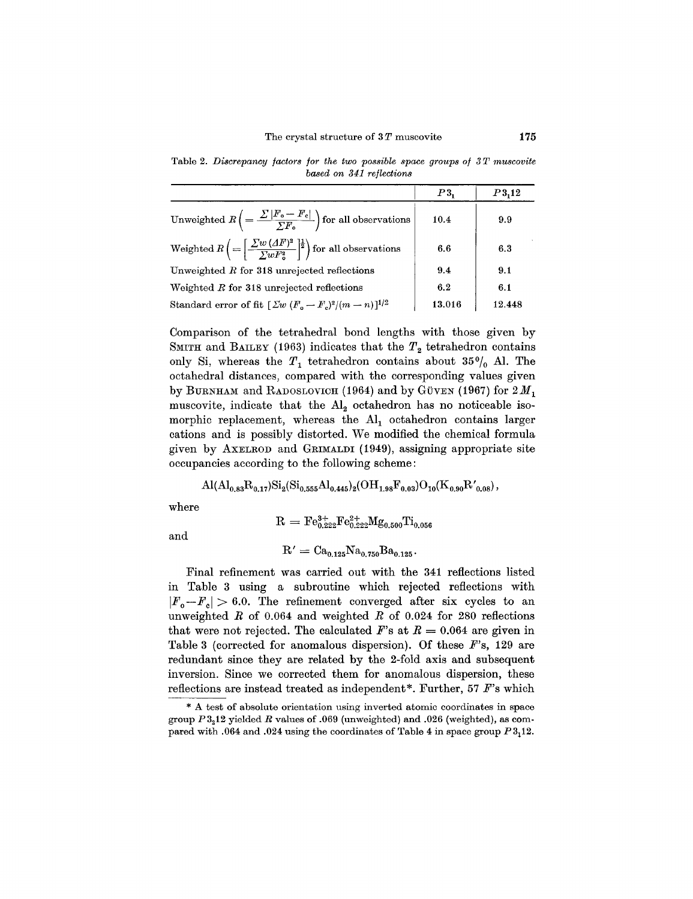Table 2. *Discrepancy factors for the two possible space groups of 3T muscovite based on* 341 *reflections*

|                                                                                                                                 | P3.    | P3,12  |
|---------------------------------------------------------------------------------------------------------------------------------|--------|--------|
| Unweighted $R\left(=\frac{\sum  F_0-F_0 }{\sum F_n}\right)$ for all observations                                                | 10.4   | 9.9    |
| Weighted $R\left(=\left \frac{\sum w\left(\Delta F\right)^{2}}{\sum_{w}F^{2}}\right ^{\frac{1}{2}}\right)$ for all observations | 6.6    | 6.3    |
| Unweighted $R$ for 318 unrejected reflections                                                                                   | 9.4    | 9.1    |
| Weighted R for 318 unrejected reflections                                                                                       | 6.2    | 6.1    |
| Standard error of fit $[\Sigma w (F_o - F_o)^2/(m - n)]^{1/2}$                                                                  | 13.016 | 12.448 |

Comparison of the tetrahedral bond lengths with those given by SMITH and BAILEY (1963) indicates that the  $T<sub>2</sub>$  tetrahedron contains only Si, whereas the  $T_1$  tetrahedron contains about  $35\%$  Al. The octahedral distances, compared with the corresponding values given by BURNHAM and RADOSLOVICH (1964) and by GÜVEN (1967) for  $2M_1$ muscovite, indicate that the  $\text{Al}_2$  octahedron has no noticeable isomorphic replacement, whereas the  $\text{Al}_1$  octahedron contains larger cations and is possibly distorted. We modified the chemical formula given by AXELROD and GRIMALDI (1949), assigning appropriate site occupancies according to the following scheme:

$$
\mathrm{Al}(\mathrm{Al}_{0.83}\mathrm{R}_{0.17})\mathrm{Si}_2(\mathrm{Si}_{0.555}\mathrm{Al}_{0.445})_2(\mathrm{OH}_{1.98}\mathrm{F}_{0.03})\mathrm{O}_{10}(\mathrm{K}_{0.90}\mathrm{R'}_{0.08})\,,
$$

where

$$
\rm R = Fe^{3+}_{0.222}Fe^{2+}_{0.222}Mg_{0.500}Ti_{0.056}
$$

and

$$
R' = Ca_{0.125}Na_{0.750}Ba_{0.125}.
$$

Final refinement was carried out with the 341 reflections listed in Table 3 using a subroutine which rejected reflections with  $|F_{\alpha}-F_{c}| > 6.0$ . The refinement converged after six cycles to an unweighted *R* of 0.064 and weighted *R* of 0.024 for 280 reflections that were not rejected. The calculated  $F$ 's at  $R = 0.064$  are given in Table 3 (corrected for anomalous dispersion). Of these *F's,* 129 are redundant since they are related by the 2-fold axis and subsequent inversion. Since we corrected them for anomalous dispersion, these reflections are instead treated as independent\*. Further, 57 *F's* which

<sup>\*</sup> A test of absolute orientation using inverted atomic coordinates in space group *P3212* yielded *R* values of .069 (unweighted) and .026 (weighted), as compared with .064 and .024 using the coordinates of Table 4 in space group *P3112.*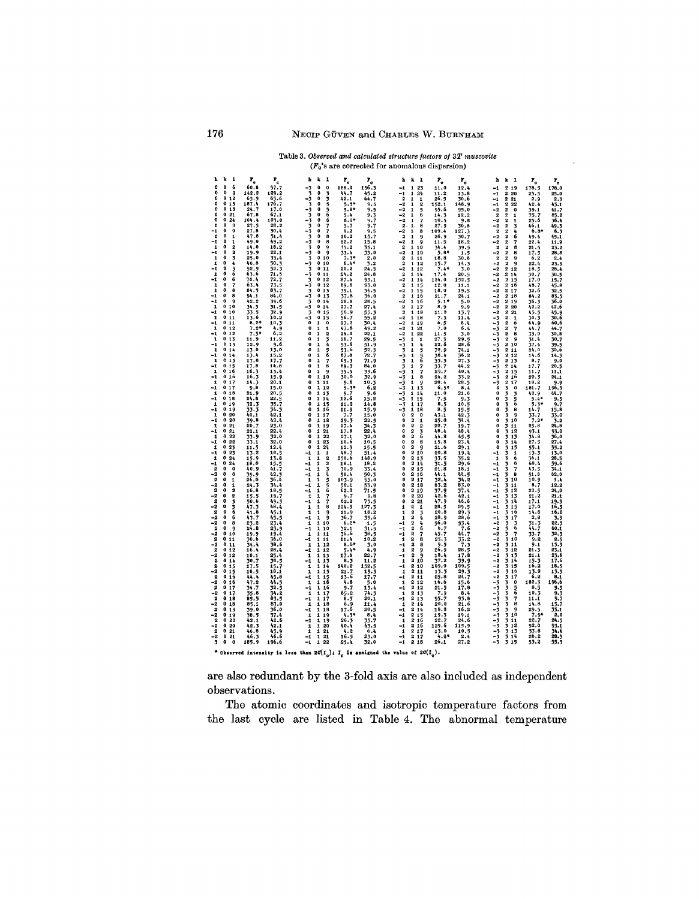#### Table 3. *Observed and catculaled structure factors of 3T muscovite*  $(F_c)$ 's are corrected for anomalous dispersion)

| ь<br>k<br>1                                                  | $\mathbf{r}_{_{\mathrm{o}}}$ | $\mathbf{P_{c}}$ | k<br>h<br>-1                                            | $\mathbf{r}_{_{\mathrm{o}}}$ | $\mathbf{r}_{\rm c}$ |                    | h k<br>$\mathbf{I}$                                                    | $\mathbf{r}_{\rm o}$ | $\mathbf{r}_\mathrm{s}$ | ħ                             | k 1                                                          | $\mathbf{r}_{_{\mathrm{o}}}$ | $\mathbf{r}_{\rm e}$                                                     |
|--------------------------------------------------------------|------------------------------|------------------|---------------------------------------------------------|------------------------------|----------------------|--------------------|------------------------------------------------------------------------|----------------------|-------------------------|-------------------------------|--------------------------------------------------------------|------------------------------|--------------------------------------------------------------------------|
| 0<br>0<br>6                                                  | 60.8                         | 57.7             | $-3$<br>O.<br>$\ddot{\mathbf{0}}$                       | 188.0                        | 196.3                | $\mathbf{-1}$      | 23<br>1                                                                | 11.0                 | 12.4                    | $-1$                          | 2 1 9                                                        | 178.5                        | 178.0                                                                    |
| $\mathbf{a}$<br>o<br>۰<br>0<br>0<br>12                       | 142.2<br>65.9                | 129.2<br>65.6    | 3<br>o<br>3<br>-3<br>0<br>3                             | 44.7<br>42.1                 | 45.2<br>44.7         | $-1$               | 1<br>24<br>$\overline{\mathbf{2}}$<br>$\mathbf{1}$<br>1                | 11.2<br>26.5         | 13.8<br>30.6            | -1<br>-1                      | 2<br>20<br>2<br>${\bf 21}$                                   | 25.5<br>2.9                  | 25.0<br>2.3                                                              |
| 0<br>0<br>15                                                 | 187.4                        | 176.7            | o<br>3<br>5                                             | $5.5*$                       | 9.5                  | $-2$               | 1<br>$\overline{2}$                                                    | 152.1                | 148.9                   | -1                            | 2<br>22                                                      | 42.4                         | 43.1                                                                     |
| o<br>0<br>18<br>0<br>Ō<br>21                                 | 24.7<br>67.8                 | 17.0<br>67.1     | -3<br>$\mathbf{0}$<br>3<br>ó<br>6                       | 5.8*<br>5.4                  | 9.5<br>9.3           | -2<br>$-2$         | 5<br>1<br>6<br>1                                                       | 95.6<br>14.3         | 95.0<br>12.2            | -2<br>$\overline{\mathbf{2}}$ | 2<br>0<br>$\overline{2}$<br>1                                | 39.1<br>75.7                 | $\frac{41.7}{85.2}$                                                      |
| o<br>0<br>24<br>0                                            | 104.4                        | 103.0            | $\ddot{\mathbf{0}}$<br>- 3<br>6                         | $8.0*$                       | 9.7                  |                    | -2<br>1<br>7                                                           | 10.5                 | 9.8                     | -2                            | 2<br>$\mathbf{1}$                                            | 25.6                         | 36.4                                                                     |
| 0<br>1<br>o<br>$\mathbf{0}$<br>-1                            | 27.5<br>27.8                 | 28.2<br>30.4     | 3<br>0<br>7<br>$-\frac{1}{2}$<br>$\mathbf{0}$           | $5 - 7$<br>9.2               | 9.7<br>9.5           | -2                 | 2.<br>a<br>$\mathbf{1}$<br>1<br>а                                      | 27.9<br>109.4        | 30.8<br>127.3           | -2<br>$\overline{\mathbf{2}}$ | $\overline{\mathbf{2}}$<br>3<br>$\overline{\mathbf{2}}$<br>4 | 46.1<br>$6,8*$               | $^{49.3}_{6.3}$                                                          |
| 1<br>0<br>1<br>$\mathbf 0$<br>-1<br>1                        | 47.8<br>49.0                 | 51.4<br>49.2     | 3<br>$\theta$<br>8<br>$\Omega$<br>8                     | 10.2<br>12.2                 | 15.7<br>15.8         |                    | $\overline{2}$<br>9<br>$-2$<br>1<br>q                                  | 26.9<br>11.5         | 30.7<br>18.2            | $-2$<br>-2                    | $\overline{2}$<br>6<br>2                                     | 49.4<br>22.4                 | 45.1                                                                     |
| o<br>$\mathbf{2}$<br>1                                       | 14.0                         | 18.2             | -3<br>O<br>3<br>9                                       | 35.2                         | 33.1                 |                    | 2<br>1 10                                                              | 34.4                 | 39.5                    |                               | 7<br>2<br>2<br>8                                             | 21.5                         | 11.9<br>23.2                                                             |
| 0<br>$\overline{\mathbf{2}}$<br>-1<br>o<br>3<br>$\mathbf{1}$ | 19.9<br>25.0                 | 22.1<br>33.4     | -3<br>9<br>Ó<br>$\overline{\mathbf{3}}$<br>0<br>10      | $33.4$<br>7.3*               | 33.0<br>2,0          |                    | -2<br>1.10<br>$\mathbf{2}$<br>111                                      | $5.8*$<br>18,8       | 1.5<br>30.6             | -2                            | 2<br>B<br>$\overline{\mathbf{2}}$<br>$\overline{2}$<br>9     | 17.5<br>6.2                  | 28.8<br>2.4                                                              |
| ٥<br>1<br>4                                                  | 46.8                         | 50.3             | -3<br>o<br>10                                           | $6.4*$                       | 3.2                  |                    | $\boldsymbol{2}$<br>$\mathbf{1}$<br>12                                 | 15.7                 | 14.3                    | -2                            | 2<br>9                                                       | 22.4                         | 23.9                                                                     |
| 0<br>-1<br>5<br>ē.<br>0<br>1                                 | 52.9<br>63.6                 | 52.3<br>71.5     | $\overline{\mathbf{3}}$<br>O<br>11<br>$-3$<br>011       | 20.2<br>24.2                 | 24.5<br>24.8         |                    | -2<br>112<br>$\overline{\mathbf{2}}$<br>1 14                           | $7.4*$<br>17.4       | 3.0<br>20.5             | $-2$<br>$-2$                  | 212<br>214                                                   | $\frac{18.5}{30.7}$          | 28.4<br>30.5                                                             |
| -1<br>O<br>6                                                 | 70.4                         | 72.7             | 3<br>012                                                | 87.4                         | 93.1                 |                    | -2<br>114                                                              | 124.0                | 152.5                   | $-2$                          | 2<br>15                                                      | 17.0                         | 15.7                                                                     |
| 0<br>7<br>1<br>$\mathbf 0$<br>1<br>я                         | 63.4<br>84.5                 | 73.5<br>83.7     | -3<br>0 <sub>12</sub><br>3<br>013                       | 89.8<br>35.1                 | 93.0<br>34.5         |                    | $\overline{\mathbf{2}}$<br>1 15<br>-2<br>1 15                          | 12.0<br>18.0         | 11.1<br>19.5            | $-2$<br>-2                    | 2 16<br>217                                                  | 48.7<br>32.6                 | 45.8<br>32.5                                                             |
| -1<br>0<br>8<br>$\mathbf{0}$<br>9                            | 94.1                         | 84.0             | 013<br>$\frac{1}{3}$                                    | 37.8                         | 36.0                 |                    | $\mathbf 2$<br>116                                                     | 21.7                 | 24.1                    | $-2$                          | 218                                                          | 84.2                         | 83.5                                                                     |
| -1<br>0<br>10<br>1                                           | 42.2<br>34.5                 | 39.6<br>31.5     | 0.14<br>-3<br>014                                       | 28.8<br>27.7                 | 28.5<br>27.4         |                    | -2<br>1 16<br>$\boldsymbol{2}$<br>$\mathbf{1}$<br>17                   | 5.1*<br>8.9          | 5.0<br>9.9              | $-2$<br>-2                    | 219<br>2<br>20                                               | 36.3<br>42.2                 | 36.0<br>42.6                                                             |
| 0<br>10<br>-1<br>0                                           | 33.5                         | 32.9             | $\overline{\mathbf{3}}$<br>015<br>o                     | 56.9                         | 55.3                 |                    | $\overline{2}$<br>1 18                                                 | 11.0                 | 13.7                    | $-9$                          | $\overline{\mathbf{2}}$<br>21                                | 45.5                         | 45.9                                                                     |
| 1<br>11<br>0<br>-1<br>11                                     | 13.6<br>$8.2*$               | 10.2<br>10,3     | -3<br>15<br>o<br>1<br>$\ddot{\mathbf{0}}$               | 56.7<br>27.2                 | 55.2<br>30.4         | $-2$<br>$-2$       | 18<br>1<br>119                                                         | 7.3<br>6.5           | 11.4<br>8.4             | -3<br>-3                      | 2<br>1<br>2<br>6                                             | 30.3<br>64.9                 | 30.6<br>60.6                                                             |
| 012<br>1<br>-1<br>۰<br>12                                    | $7.2*$<br>$7.5*$             | 4.9<br>6.2       | n<br>1<br>1<br>0<br>1<br>2                              | 47.6<br>24.0                 | 49.2<br>22.1         | $-2$               | $\bf{21}$<br>1<br>-2<br>$\mathbf{1}$<br>22                             | 7.0<br>11.5          | 6.4<br>3.0              | -3<br>-3                      | 2<br>7<br>2<br>8                                             | 44.7<br>33.0                 | 44.7<br>30.8                                                             |
| 0.13<br>$\mathbf{1}$                                         | 11.9                         | 11.2             | ٥<br>1<br>3                                             | 26.7                         | 29.5                 | -3                 | 1<br>1                                                                 | 27.3                 | 29.5                    | -3                            | 2<br>9                                                       | 31.4                         | 30.7                                                                     |
| 013<br>-1<br>$\mathbf{1}$<br>0.14                            | 12.9<br>13.0                 | 9.6<br>13.0      | $\bf o$<br>1<br>4<br>$\mathbf{o}$<br>1                  | 53.6<br>53.6                 | 51.9<br>52.3         |                    | -3<br>4<br>1<br>$\mathbf{1}$<br>5                                      | 22.6<br>72.9         | 28.6<br>74.1            | -3<br>-3                      | 210<br>2<br>11                                               | 37.4<br>24.0                 | 39.5<br>30.6                                                             |
| 014<br>-1                                                    | 13.4                         | 15.2             | 56<br>$\pmb{\mathbf{1}}$<br>0                           | 67.8                         | 72.7                 |                    | $\frac{3}{5}$<br>5<br>1                                                | 36.4                 | 36.2                    | -3                            | 212                                                          | 14.6                         | 14.3                                                                     |
| 015<br>$\pmb{\mathbf{1}}$<br>0.15<br>-1                      | 17.0                         | 17.7<br>14.8     | $\mathbf{0}$<br>1<br>7<br>ġ<br>$\Omega$<br>$\mathbf{1}$ | 65.3<br>69.3                 | 71.9<br>84.0         |                    | 3<br>6<br>$\mathbf{1}$<br>3<br>1                                       | 33.3                 | 27.3<br>44.2            | -3<br>-3                      | 2 1 3<br>214                                                 | 8.7<br>17.7                  | 9.0<br>20.5                                                              |
| $\mathbf{1}$<br>0.16                                         | $\frac{17.8}{16.3}$          | 13.4             | o<br>9<br>1                                             | 35.5                         | 39.6                 |                    | $\frac{7}{7}$<br>-3<br>1                                               | $\frac{1}{29.7}$     | 40.4                    | -3                            | $\overline{\mathbf{2}}$<br>15                                | 11.7                         | 11.1                                                                     |
| -1<br>016<br>$\mathbf{1}$<br>017                             | 16.3<br>14.3                 | 15.9<br>20.1     | 110<br>0<br>Ω<br>1 1 1                                  | 30.0<br>9.6                  | 32.9<br>i0.3         | -3<br>-3           | 8<br>1<br>9<br>1                                                       | 24.2<br>20.4         | 33.2<br>28.5            | -3<br>-3                      | 2<br>16<br>217                                               | 22.3<br>10.2                 | 24.1                                                                     |
| 017<br>-1<br>010<br>$\pmb{\mathbf{1}}$                       | 9.8<br>21.9                  | 15.0<br>20.5     | 0<br>1 12<br>O<br>1 1 3                                 | $5.3*$<br>9.7                | 6,2<br>9.6           |                    | -3<br>1<br>13                                                          | $6.5*$<br>11.0       | 8.4<br>21.6             |                               | $\Omega$<br>3<br>$\bf{0}$<br>o<br>$\overline{\mathbf{3}}$    | 181.7<br>42.9                |                                                                          |
| 018<br>-1                                                    | 24.8                         | 22.5             | 0<br>1 14                                               | 12.6                         | 15.2                 | -3<br>-3           | 114<br>1 15                                                            | 7.5                  | 9.3                     |                               | 3<br>o<br>3<br>5                                             | $5.4*$                       | $\begin{array}{r} 4.9 \\ 9.9 \\ 196.3 \\ 44.7 \\ 9.5 \\ 9.7 \end{array}$ |
| $\mathbf{1}$<br>0<br>19<br>019<br>-1                         | 32.3<br>33.3                 | 35.7<br>34.3     | 0<br>1 15<br>116<br>0                                   | 11.2<br>11.9                 | 14.8<br>15.9         | -3<br>-3           | 1 17<br>1<br>18                                                        | 8.5<br>8.5           | 10.5<br>15.5            |                               | 6<br>$\mathbf{o}$<br>3<br>5<br>0<br>8                        | $5.3*$<br>14.7               | 15.8                                                                     |
| 1<br>0<br>20                                                 | 40.1                         | 42.1             | 0<br>1 17                                               | 7.7                          | 15.0                 |                    | $\pmb{0}$<br>2<br>o                                                    | 43.1                 | 42.3                    |                               | o<br>9<br>3                                                  | $33.7$<br>$7.2$              | 33.0                                                                     |
| 20<br>$-1$<br>$\bf{0}$<br>o<br>21<br>1                       | 39.8<br>20.7                 | 42.4<br>23.0     | o<br>118<br>0<br>1 19                                   | 19.3<br>27.4                 | 22.5<br>34.3         |                    | $\mathbf 0$<br>2<br>$\mathbf{1}$<br>$\overline{2}$<br>$\mathbf 0$<br>2 | 25.0<br>22.7         | 34.4<br>19.7            |                               | $\bf{0}$<br>5 10<br>o<br>3<br>11                             | 25.8                         | 3.2<br>24.8                                                              |
| 0<br>21<br>-1                                                | 22.1                         | 22.4             | 0<br>121                                                | 17.8                         | 22.4                 |                    | $\mathbf{0}$<br>$\overline{2}$<br>36                                   | 48.4                 | 48.4                    |                               | 312<br>o                                                     | 93.1                         | 93.0                                                                     |
| 0<br>22<br>1<br>0<br>-1<br>22                                | 33.9<br>33.1                 | 32.0<br>32.0     | 0<br>$\pmb{\mathfrak{1}}$<br>22<br>0<br>1<br>23         | 27.1<br>10.6                 | 32.0<br>10.5         |                    | $\mathbf{o}$<br>$\overline{\mathbf{2}}$<br>$\mathbf 0$<br>۰<br>8       | 44.8<br>15.8         | 45.5<br>23.4            |                               | $\mathbf{o}$<br>3 1 3<br>0<br>314                            | 34.8<br>27.5                 | 36.0<br>27.4                                                             |
| 0<br>23<br>$\mathbf{1}$<br>0<br>23                           | 11.5                         | 12.4             | $\mathbf 0$<br>$\mathbf{1}$<br>24                       | 12.3                         | 15.5                 |                    | $\mathbf{a}$<br>9<br>$\Omega$                                          | 21.6<br>20.8         | 29.1                    |                               | 3<br>o<br>15                                                 | 55.1                         | 55.2                                                                     |
| -1<br>$\mathbf{1}$<br>0<br>24                                | 13.2<br>15.9                 | 10.5<br>13.8     | -1<br>1<br>1<br>$\mathbf{1}$<br>1<br>2                  | 40.7<br>150.6                | 51.4<br>148.9        |                    | 2 10<br>O<br>2 1 3                                                     | 33.5                 | 19.4<br>35.2            | -1<br>1                       | 3<br>$\mathbf{1}$<br>3<br>6                                  | 13.3<br>36.1                 | 13.0<br>28.5                                                             |
| -1<br>0<br>24<br>ž<br>o<br>$\bf{0}$                          | 18.0<br>40.9                 | 15.5<br>41.7     | 1<br>-1<br>$\overline{2}$<br>3<br>$^{\rm -1}$<br>1      | 18.1<br>30.9                 | 18.2<br>33.4         |                    | 214<br>$\bf{0}$<br>$\mathbf{0}$<br>2 15                                | 31.5<br>21.8         | 29.6<br>18.1            | -1<br>$-1$                    | 3<br>6<br>$\overline{7}$                                     | 60.4<br>43.5                 | 59.6<br>34.1                                                             |
| -2<br>o<br>$\mathbf{o}$                                      | 39.9                         | 42.3             | 1<br>ī,<br>-1                                           | 50.4                         | 50.3                 |                    | 2 16<br>o                                                              | 44.1                 | 44.5                    | -1                            | うろろ<br>8                                                     | 51.8                         | 62.0                                                                     |
| $\frac{2}{-2}$<br>o<br>1<br>0<br>1                           | 26.0<br>24.3                 | 36.4<br>34.4     | 5<br>$\mathbf{1}$<br>1<br>-1<br>1                       | 103.9<br>50.1                | 95.0<br>53.9         |                    | $\Omega$<br>2<br>17<br>0<br>2 1 8                                      | 32.4<br>83.2         | 34.2<br>83.0            | -1<br>-1                      | 10<br>3 11                                                   | 10.9<br>8.7                  | 1.1<br>12.2                                                              |
| $\overline{\mathbf{2}}$<br>Ō<br>$\overline{\mathbf{2}}$      | 16.8                         | 18.5             | Ġ<br>$-1$<br>$\pmb{1}$                                  | 62.0                         | 71.5                 |                    | 0<br>2<br>19                                                           | 37.9                 | 37.4                    | $-1$                          | 312                                                          | 22.5                         | 24.0                                                                     |
| -2<br>0<br>2<br>2<br>o<br>3                                  | 15.5<br>50.6                 | 19.7<br>49.3     | $\frac{7}{7}$<br>1<br>1<br>-1<br>1                      | 9.7<br>62.2                  | 9.8<br>73.5          |                    | 2<br>$\pmb{0}$<br>20<br>2<br>$\bf 21$<br>0                             | 42.6<br>47.9         | 42.1<br>46.6            | $^{-1}$<br>-1                 | 3 13<br>3 14                                                 | 21.2<br>17.1                 | 21.1<br>19.3                                                             |
| $-2$<br>$\bullet$<br>3<br>6<br>2<br>0                        | 47.3<br>41.8                 | 48.4<br>45.1     | 1<br>1<br>я<br>$\pmb{\mathsf{1}}$<br>1<br>9             | 124.9<br>11.9                | 127.3<br>13.2        |                    | $\overline{2}$<br>1<br>1<br>$\overline{2}$<br>3<br>1                   | 28.5<br>20.8         | 29.5<br>29.3            | $-1$<br>-1                    | 3 15<br>3<br>16                                              | 17.0<br>14.8                 | 16.5<br>16,0                                                             |
| -2<br>o<br>6                                                 | 43.7                         | 45.5             | 9<br>-1<br>$\mathbf{1}$                                 | 36.7                         | 39.6                 |                    | $\overline{\mathbf{2}}$<br>4<br>1                                      | 28.9                 | 28.6                    | $-1$                          | 3<br>17                                                      | 2,8                          | 3.9                                                                      |
| -2<br>0<br>8<br>$\overline{\mathbf{2}}$<br>0<br>9            | 23.2<br>24.8                 | 23.4<br>23.9     | 1<br>1 10<br>110<br>$-1$                                | $6.2*$<br>32.1               | 1.5<br>31.5          | -1<br>$-1$         | 2<br>4<br>$\overline{\mathbf{2}}$<br>6                                 | 96.0<br>6.7          | $93.4$<br>7.6           | -2<br>-2                      | 3<br>$\frac{3}{6}$                                           | 31.3<br>44.7                 | 22.3<br>60.1                                                             |
| $-\frac{2}{2}$<br>٥<br>10                                    | 19.9                         | 19.4             | $\mathbf 1$<br>111                                      | 36.6                         | 38.5                 | -1                 | $\overline{2}$<br>7                                                    | 45.7                 | 44.7                    | -2                            | 3<br>3<br>$\overline{7}$                                     | 33.7                         | $\frac{1}{2}$                                                            |
| ۰<br>11<br>-2<br>0<br>11                                     | 30.6<br>34.4                 | 36.0<br>38.6     | -1<br>1 11<br>$\mathbf{1}$<br>112                       | 11.4<br>$8.6*$               | 10,2<br>3.0          | -- 1               | 2<br>1<br>а<br>2<br>8                                                  | 25.3<br>9.5          | 33.2<br>7.3             | -2<br>-2                      | 3 10<br>11                                                   | 9.2<br>9.1                   | 13.3                                                                     |
| 2<br>O<br>12<br>-2<br>0.12                                   | 16.1<br>18.1                 | 28.4<br>25.4     | -1<br>112<br>$\mathbf{1}$<br>1 13                       | $5.4*$<br>17.6               | 4.9<br>22.7          |                    | 2<br>9<br>1<br>$\overline{2}$<br>9                                     | 26.9<br>18.4         | 28.5<br>17.8            | $-2$<br>-2                    | 3<br>3<br>12<br>3<br>13                                      | 21.3<br>21.1                 | 25.1<br>23.6                                                             |
| $\frac{2}{2}$<br>۰<br>14                                     | 30.7                         | 30.5             | -1<br>1:13                                              | 8.3                          | 11.2                 | -1                 | $\mathbf{1}$<br>2<br>10                                                | 37.2                 | 39.9                    | -2                            | 14<br>3<br>3                                                 | $\frac{15.3}{16.2}$          | 17.6                                                                     |
| o<br>15<br>-2<br>015                                         | 17.5<br>18.5                 | 15.7<br>18.1     | 114<br>1<br>$\pmb{\mathfrak{1}}$<br>1 15                | 140.2<br>21.7                | 152.5<br>19.5        |                    | 2<br>10<br>-1<br>211<br>$\mathbf{1}$                                   | 109.0<br>13.3        | 109.5<br>29.3           | $-2$<br>$-2$                  | 15<br>3 16                                                   | 13.8                         | 18.5<br>13.5                                                             |
| 2<br>016                                                     | 44.4                         | 45.8             | 115<br>-1                                               | 13.6                         | 17.7                 | -1                 | 211                                                                    | 25.8                 | 24.7                    | $-2$                          | 17<br>3                                                      | 6.2                          | Ò.1                                                                      |
| -2<br>0<br>16<br>$\overline{\mathbf{2}}$<br>o<br>17          | 17.2<br>34.7                 | 44.5<br>32.5     | 1<br>1 16<br>-1<br>1 16                                 | 4.8<br>9.7                   | 5.0<br>13.4          | -1                 | 212<br>1<br>$\overline{\mathbf{2}}$<br>12                              | 16.6<br>21.5         | 15.6<br>17.8            | -3<br>-3                      | 3<br>$\Omega$<br>3                                           | 182.3<br>8.5                 | 196.6                                                                    |
| -2<br>017                                                    | 35.8                         | 34.2             | 1<br>1 17                                               | 65.2                         | 74.3                 |                    | 213<br>1                                                               | 7.9                  | 8,4                     | -3                            | Ğ<br>3                                                       | 10.3                         | $9.5$<br>$9.3$<br>$9.7$<br>$15.7$                                        |
| 2<br>0<br>18<br>$-2$<br>0<br>18                              | 85.5<br>85.1                 | 83.5<br>83.0     | 1 17<br>-1<br>1<br>1 18                                 | 8.5<br>6.9                   | 20.1<br>11,4         | -1                 | 2<br>13<br>214<br>1                                                    | 95.7<br>20.0         | 93.8<br>21.6            | -3<br>-3                      | 3<br>7<br>Ŕ                                                  | 11.1<br>14.8                 |                                                                          |
| 2<br>٥<br>19<br>-2<br>0<br>19                                | 39.0<br>38.5                 | 56.0<br>37.4     | 118<br>-1<br>$\mathbf{f}$<br>1 19                       | 17.6<br>4.5*                 | 20.5<br>8,4          | -1<br>-1           | 214<br>2<br>15                                                         | 18.0                 | 16,2<br>19.1            | -3<br>-3                      | 3<br>9<br>10                                                 | 29.5                         | 33.1<br>2,0                                                              |
| $\overline{\mathbf{2}}$<br>o<br>-20                          | 42.1                         | 42.6             | -1<br>1 19                                              | 26.3                         | 35.7                 |                    | 2<br>1<br>16                                                           | $\frac{19.3}{22.7}$  | 24.6                    | -3                            | 33<br>11                                                     | $\frac{7.94}{22.7}$          | 24.5                                                                     |
| -2<br>o<br>20<br>$\overline{\mathbf{2}}$<br>0<br>21          | 42.3<br>46.8                 | 42.1<br>45.9     | 1 20<br>$\blacksquare$<br>121<br>1                      | 40.4<br>4.2                  | 43.5<br>6.4          | -1<br>$\mathbf{1}$ | 2<br>16<br>2<br>17                                                     | 129.6<br>13.0        | 115.9<br>10.5           | -3<br>-3                      | 3<br>12<br>3<br>13                                           | 92.0<br>33.8                 | 93.1<br>34.6                                                             |
| -2<br>0<br>21                                                | 46.3                         | 46.6             | 121<br>-1                                               | 16.5                         | 23.0                 | -1                 | 2<br>17                                                                | $4.8*$               | 2.4                     | -3                            | $314$<br>$315$                                               | 26.2                         | 28.5                                                                     |
| $\mathbf{3}$<br>۰<br>- 0                                     | 185.9                        | 196.6            | 122<br>-1                                               | 25.4                         | 32.0                 | -1                 | 218                                                                    | 26.1                 | 27.2                    | -3                            |                                                              | 53.2                         | 55.3                                                                     |

\* Observed intensity is less than  $20(I_0)$ ; I<sub>o</sub> is assigned the value of  $20(I_0)$ .

are also redundant by the 3-fold axis are also included as independent observations.

The atomic coordinates and isotropic temperature factors from the last cycle are listed in Table 4. The abnormal temperature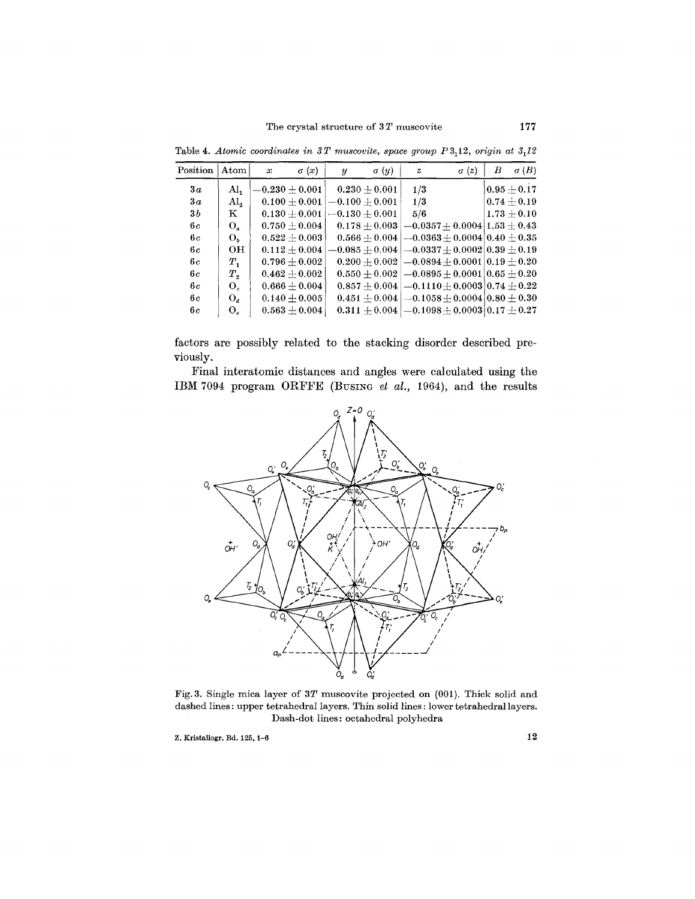| $\rm Position$ | Atom           | $\boldsymbol{x}$ | $\sigma(x)$       | $\boldsymbol{y}$ | $\sigma(y)$      | $\boldsymbol{z}$ | $\sigma(z)$                                                      | В | $\sigma(B)$   |
|----------------|----------------|------------------|-------------------|------------------|------------------|------------------|------------------------------------------------------------------|---|---------------|
| 3a             | Al,            |                  | $-0.230 + 0.001$  |                  | $0.230 + 0.001$  | 1/3              |                                                                  |   | $0.95 + 0.17$ |
| 3a             | $\rm Al_{2}$   |                  | $0.100 + 0.001$   |                  | $-0.100 + 0.001$ | 1/3              |                                                                  |   | $0.74\pm0.19$ |
| 3b             | $\mathbf K$    |                  | $0.130 \pm 0.001$ | $-0.130 + 0.001$ |                  | 5/6              |                                                                  |   | $1.73 + 0.10$ |
| 6c             | $O_a$          |                  | $0.750\pm0.004$   |                  | $0.178 + 0.003$  |                  | $-0.0357 + 0.0004$ [1.53 $\pm$ 0.43 ]                            |   |               |
| 6с             | O,             |                  | $0.522 \pm 0.003$ |                  | $0.566 + 0.004$  |                  | $-0.0363 \pm 0.0004$ [0.40 $\pm$ 0.35                            |   |               |
| 6с             | OН             |                  | $0.112 + 0.004$   |                  |                  |                  | $-0.085\pm0.004$ $[-0.0337\pm0.0002]$ $0.39\pm0.19$              |   |               |
| 6с             | $T_{1}$        |                  | $0.796 \pm 0.002$ |                  |                  |                  | $0.200 \pm 0.002$   $-0.0894 \pm 0.0001$   $0.19 \pm 0.20$       |   |               |
| 6 c            | $T_{\circ}$    |                  | $0.462 \pm 0.002$ |                  |                  |                  | $0.550 \pm 0.002$ $[-0.0895 \pm 0.0001]$ $0.65 \pm 0.20$         |   |               |
| 6с             | O,             |                  | $0.666 \pm 0.004$ |                  |                  |                  | $0.857 + 0.004$ $\mid$ $-0.1110 + 0.0003$ $\mid$ $0.74 \pm 0.22$ |   |               |
| 6с             | $O_d$          |                  | $0.140 + 0.005$   |                  |                  |                  | $0.451 \pm 0.004$ $ -0.1058 \pm 0.0004$ $ 0.80 \pm 0.30$         |   |               |
| 6 c            | $O_{\epsilon}$ |                  | $0.563\pm0.004$   |                  |                  |                  | $0.311 \pm 0.004$ $[-0.1098 \pm 0.0003]$ $0.17 \pm 0.27$         |   |               |

Table 4. *Atomic coordinates in*  $3T$  *muscovite, space group*  $P3<sub>1</sub>12$ *, origin at*  $3<sub>1</sub>12$ 

factors are possibly related to the stacking disorder described previously.

Final interatomic distances and angles were calculated using the IBM 7094 program ORFFE (BUSING *et al.,* 1964), and the results



Fig. 3. Single mica layer of *3T* muscovite projected on (001). Thick solid and dashed lines: upper tetrahedral layers. Thin solid lines: lower tetrahedral layers. Dash-dot lines: octahedral polyhedra

 $Z.$  Kristallogr. Bd. 125, 1–6 12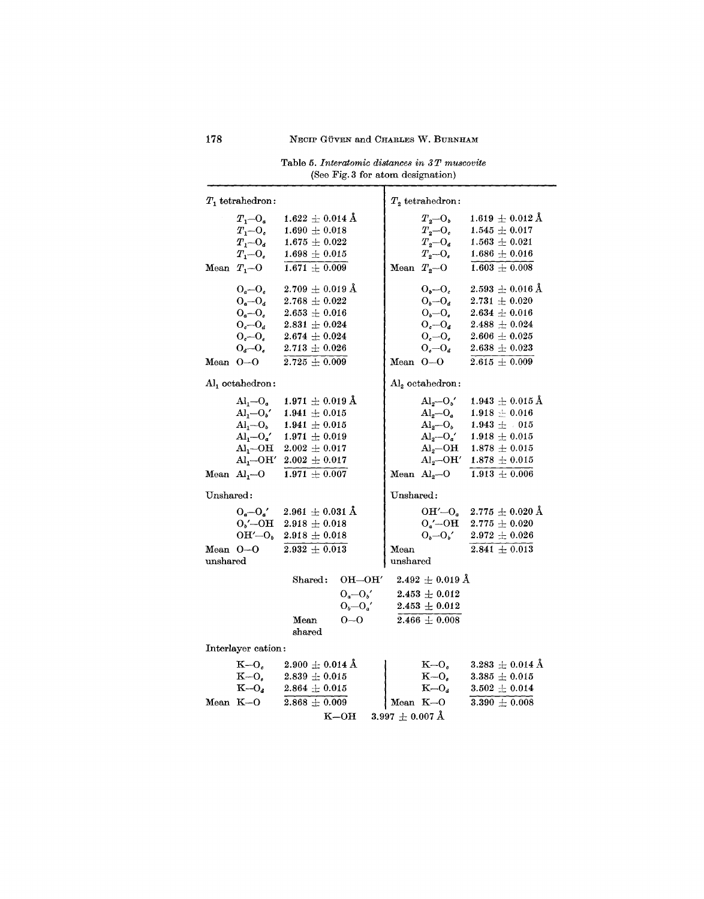| Table 5. Interatomic distances in 3T muscovite |  |                                   |  |  |  |
|------------------------------------------------|--|-----------------------------------|--|--|--|
|                                                |  | (See Fig. 3 for atom designation) |  |  |  |

| $T_1$ tetrahedron:                                                                                                                                                                           |                                                                                                                                                              | $T2$ tetrahedron:                                                                                  |                                                                                                                                                                                                  |
|----------------------------------------------------------------------------------------------------------------------------------------------------------------------------------------------|--------------------------------------------------------------------------------------------------------------------------------------------------------------|----------------------------------------------------------------------------------------------------|--------------------------------------------------------------------------------------------------------------------------------------------------------------------------------------------------|
| $T_1 - O_a$<br>$T_1 - O_c$<br>$T_1 - O_d$<br>$T_1 - O_e$<br>Mean $T_1$ -O                                                                                                                    | $1.622 \pm 0.014$ Å<br>$1.690 \pm 0.018$<br>$1.675 \pm 0.022$<br>$1.698 \pm 0.015$<br>$1.671 \pm 0.009$                                                      | $T_{2}-O_{b}$<br>$T_{2}-O_{c}$<br>$T_{2}-O_{d}$<br>$T_{2}-O_{e}$<br>Mean $T_{2}$ -O                | $1.619 \pm 0.012$ Å<br>$1.545 \pm 0.017$<br>$1.563\,\pm\,0.021$<br>$1.686 \pm 0.016$<br>$1.603 \pm 0.008$                                                                                        |
| $O_a-O_c$<br>$O_a-O_d$<br>$O_a-O_e$<br>$O_c-O_d$<br>$O_c-O_e$<br>$O_d-O_e$<br>Mean $O-O$                                                                                                     | $2.709 \pm 0.019 \,\text{\AA}$<br>$2.768 \pm 0.022$<br>$2.653 \pm 0.016$<br>$2.831 \pm 0.024$<br>$2.674 \pm 0.024$<br>$2.713 \pm 0.026$<br>$2.725 \pm 0.009$ | $O_b-O_c$<br>$O_b-O_d$<br>$O_b-O_e$<br>$O_c-O_d$<br>$O_c-O_e$<br>$O_{e}-O_{d}$<br>Mean $O-O$       | $2.593\,\pm\,0.016\,\mathrm{\AA}$<br>$2.731\,\pm\,0.020$<br>$2.634 \pm 0.016$<br>$2.488\,\pm\,0.024$<br>$2.606\,\pm\,0.025$<br>$2.638\,\pm\,0.023$<br>$2.615 \pm 0.009$                          |
| Al <sub>1</sub> octahedron:                                                                                                                                                                  |                                                                                                                                                              | $\mathrm{Al}_2$ octahedron:                                                                        |                                                                                                                                                                                                  |
| $\rm Al_{1}$ - $\rm O_{a}$<br>$Al_1-O_b'$<br>$\text{Al}_1\!\!-\!\!\text{O}_b$<br>$Al_1-O_a'$<br>$\text{Al}_{\text{1}}\text{--}\text{OH}$<br>$\text{Al}_1\text{O}\text{H}'$<br>Mean $Al1 - O$ | $1.971 \pm 0.019$ Å<br>$1.941 \pm 0.015$<br>$1.941 \pm 0.015$<br>$1.971 \pm 0.019$<br>$2.002 \,\pm\, 0.017$<br>$2.002 \pm 0.017$<br>$1.971 + 0.007$          | $Al_2-O_b'$<br>$Al_2 \leftarrow O_a$<br>$Al_2-O_b$<br>$\mathrm{Al}_2\text{--OH}$<br>Mean $Al2 - O$ | $1.943\,\pm\,0.015\,\mathrm{\AA}$<br>$1.918 - 0.016$<br>$1.943 \pm 015$<br>$\overline{Al}_2 - O_a'$ 1.918 $\pm$ 0.015<br>$1.878\,\pm\,0.015$<br>$Al_2$ -OH' 1.878 $\pm$ 0.015<br>$1.913 + 0.006$ |
| Unshared:                                                                                                                                                                                    |                                                                                                                                                              | Unshared:                                                                                          |                                                                                                                                                                                                  |
| $O_a - O_a'$<br>$O_b'$ — $OH$<br>$OH' - O_b$<br>Mean O-O<br>unshared                                                                                                                         | $2.961 \pm 0.031$ Å<br>$2.918 \pm 0.018$<br>$2.918 \pm 0.018$<br>$2.932 + 0.013$                                                                             | $O_{a}$ '--OH<br>$O_b-O_b'$<br>Mean<br>$\;$ unshar $\;$ ed                                         | OH' $-$ O <sub>a</sub> 2.775 $\pm$ 0.020 Å<br>$2.775 \pm 0.020$<br>$2.972 \pm 0.026$<br>$2.841 \pm 0.013$                                                                                        |
|                                                                                                                                                                                              | $OH$ -OH'<br>$\texttt{Shared:}$                                                                                                                              | $\rm 2.492\,\pm\,0.019~\AA$                                                                        |                                                                                                                                                                                                  |
|                                                                                                                                                                                              | $O_a - O_b'$<br>$O_b-O_a'$<br>$0 - 0$<br>Mean<br>shared                                                                                                      | $2.453 \pm 0.012$<br>$2.453 \pm 0.012$<br>$2.466 \pm 0.008$                                        |                                                                                                                                                                                                  |
| Interlayer cation:                                                                                                                                                                           |                                                                                                                                                              |                                                                                                    |                                                                                                                                                                                                  |
| К-0.<br>$K-O_{\epsilon}$<br>$K-O_a$<br>Mean K-O                                                                                                                                              | $2.900 \pm 0.014$ Å<br>$2.839 \pm 0.015$<br>$2.864 \pm 0.015$<br>$2.868 \pm 0.009$                                                                           | $K=O_{\alpha}$<br>$K-O_e$<br>$K-O_d$<br>Mean $K=O$                                                 | $3.283\,\pm\,0.014~\rm\AA$<br>$3.385 \pm 0.015$<br>$3.502 \,\pm\, 0.014$<br>$3.390 + 0.008$                                                                                                      |
|                                                                                                                                                                                              | $_{\rm K-OH}$                                                                                                                                                | $3.997 \pm 0.007 \, \rm \AA$                                                                       |                                                                                                                                                                                                  |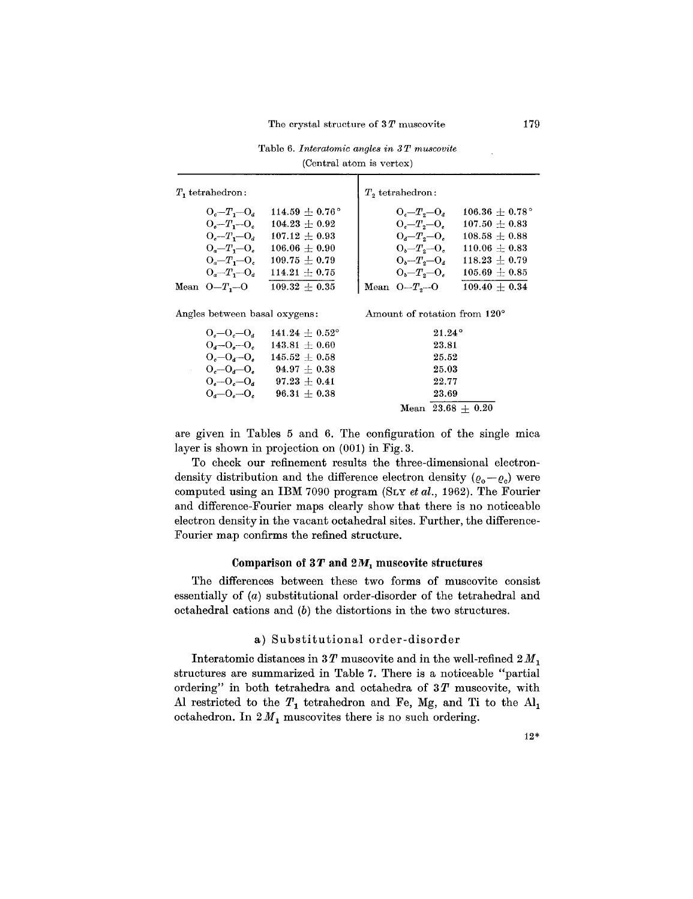| $T1$ tetrahedron:                                                                                                                                                 |                                                                                                                                                 | $T2$ tetrahedron:                                                                                                                                   |                                                                                                                                                 |
|-------------------------------------------------------------------------------------------------------------------------------------------------------------------|-------------------------------------------------------------------------------------------------------------------------------------------------|-----------------------------------------------------------------------------------------------------------------------------------------------------|-------------------------------------------------------------------------------------------------------------------------------------------------|
| $O_{c}-T_{1}-O_{d}$<br>$O_{\epsilon}-T_{1}-O_{\epsilon}$<br>$O_{a}-T_{b}-O_{d}$<br>$O_a - T_1 - O_e$<br>$O_a - T_1 - O_c$<br>$O_a - T_1 - O_a$<br>Mean $O-T_1$ -O | $114.59 + 0.76^{\circ}$<br>$104.23 \pm 0.92$<br>$107.12 + 0.93$<br>$106.06 + 0.90$<br>$109.75 \pm 0.79$<br>$114.21 \pm 0.75$<br>$109.32 + 0.35$ | $O_{c}-T_{g}-O_{d}$<br>$O_{c}-T_{2}-O_{e}$<br>$O_{d}-T_{2}-O_{e}$<br>$O_b - T_s - O_c$<br>$O_b - T_o - O_d$<br>$O_b - T_2 - O_c$<br>Mean $O-T3$ --O | $106.36 \pm 0.78^{\circ}$<br>$107.50 \pm 0.83$<br>$108.58 + 0.88$<br>$110.06 + 0.83$<br>$118.23 \pm 0.79$<br>$105.69 + 0.85$<br>$109.40 + 0.34$ |
| Angles between basal oxygens:                                                                                                                                     |                                                                                                                                                 | Amount of rotation from $120^{\circ}$                                                                                                               |                                                                                                                                                 |

|  | Table 6. Interatomic angles in 3T muscovite |
|--|---------------------------------------------|
|  | (Central atom is vertex)                    |

| s between basal oxygens: |                         | Amount of rotation from 120° |
|--------------------------|-------------------------|------------------------------|
| $0, -0, -0,$             | $141.24 + 0.52^{\circ}$ | $21.24^\circ$                |
| $O_{a} - O_{a} - O_{c}$  | $143.81 + 0.60$         | 23.81                        |
| $0, -0, -0,$             | $145.52 + 0.58$         | 25.52                        |
| $0, -0, -0.$             | $94.97 + 0.38$          | 25.03                        |
| $O_{a}-O_{c}-O_{d}$      | $97.23 \pm 0.41$        | 22.77                        |
| $0, -0, -0,$             | $96.31 + 0.38$          | 23.69                        |
|                          |                         | Mean $23.68 + 0.20$          |

are given in Tables 5 and 6. The configuration of the single mica layer is shown in projection on (001) in Fig. 3.

To check our refinement results the three-dimensional electrondensity distribution and the difference electron density  $(\varrho_o - \varrho_c)$  were computed using an IBM 7090 program (SLY *et al.,* 1962). The Fourier and difference-Fourier maps clearly show that there is no noticeable electron density in the vacant octahedral sites. Further, the difference-Fourier map confirms the refined structure.

#### Comparison of  $3T$  and  $2M_1$  muscovite structures

The differences between these two forms of muscovite consist essentially of *(a)* substitutional order-disorder of the tetrahedral and octahedral cations and *(b)* the distortions in the two structures.

#### a) Substitutional order-disorder

Interatomic distances in  $3T$  muscovite and in the well-refined  $2M_1$ structures are summarized in Table 7. There is a noticeable "partial ordering" in both tetrahedra and octahedra of 3 *T* muscovite, with Al restricted to the  $T_1$  tetrahedron and Fe, Mg, and Ti to the Al octahedron. In  $2M_1$  muscovites there is no such ordering.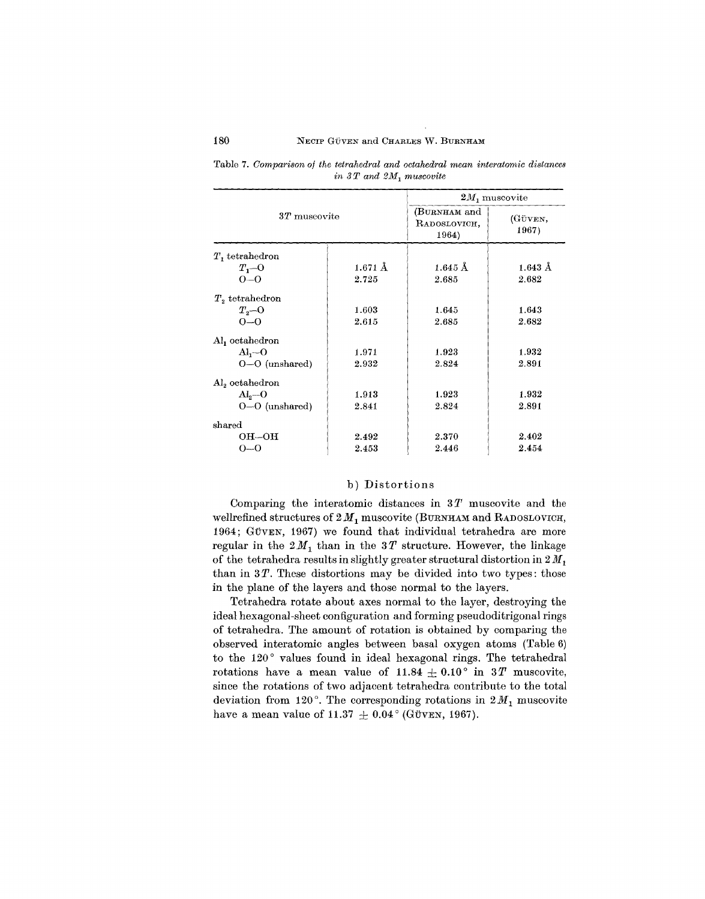|                            |                   | $2M_1$ muscovite                      |                   |  |  |
|----------------------------|-------------------|---------------------------------------|-------------------|--|--|
| $3T$ muscovite             |                   | (BURNHAM and<br>RADOSLOVICH.<br>1964) | (GÜVEN,<br>1967)  |  |  |
| $T$ , tetrahedron          |                   |                                       |                   |  |  |
| $T_{1}$ - $\alpha$         | $1.671 \text{ Å}$ | $1.645 \text{ Å}$                     | $1.643 \text{ Å}$ |  |  |
| $0 - 0$                    | 2.725             | 2.685                                 | 2.682             |  |  |
| $T_2$ tetrahedron          |                   |                                       |                   |  |  |
| $T_{2}$ -O                 | 1.603             | 1.645                                 | 1.643             |  |  |
| $0 - 0$                    | 2.615             | 2.685                                 | 2.682             |  |  |
| Al <sub>1</sub> octahedron |                   |                                       |                   |  |  |
| $A1 - 0$                   | 1.971             | 1.923                                 | 1.932             |  |  |
| $O-O$ (unshared)           | 2.932             | 2.824                                 | 2.891             |  |  |
| $\rm Al_{2}$ octahedron    |                   |                                       |                   |  |  |
| $\mathrm{Al}_{2}$ --O      | 1.913             | 1.923                                 | 1.932             |  |  |
| $O-O$ (unshared)           | 2.841             | 2.824                                 | 2.891             |  |  |
| shared                     |                   |                                       |                   |  |  |
| $OH\rightarrow OH$         | 2.492             | 2.370                                 | 2.402             |  |  |
| 0--0                       | 2.453             | 2.446                                 | 2.454             |  |  |

Table 7. *Comparison of the tetrahedral and octahedral mean interatomic distances*  $in$   $3T$  *and*  $2M$ <sub>1</sub> *muscovite* 

## b) Distortions

Comparing the interatomic distances in *3T* muscovite and the wellrefined structures of  $2 M_1$  muscovite (BURNHAM and RADOSLOVICH, 1964; GÜVEN, 1967) we found that individual tetrahedra are more regular in the  $2M_1$  than in the  $3T$  structure. However, the linkage of the tetrahedra results in slightly greater structural distortion in  $2 M_1$ than in *3T.* These distortions may be divided into two types: those in the plane of the layers and those normal to the layers.

Tetrahedra rotate about axes normal to the layer, destroying the ideal hexagonal-sheet configuration and forming pseudoditrigonal rings of tetrahedra. The amount of rotation is obtained by comparing the observed interatomic angles between basal oxygen atoms (Table 6) to the 120° values found in ideal hexagonal rings. The tetrahedral rotations have a mean value of  $11.84 \pm 0.10$  ° in 3T muscovite, since the rotations of two adjacent tetrahedra contribute to the total deviation from 120 $^{\circ}$ . The corresponding rotations in  $2M_1$  muscovite have a mean value of 11.37  $\pm$  0.04° (GÜVEN, 1967).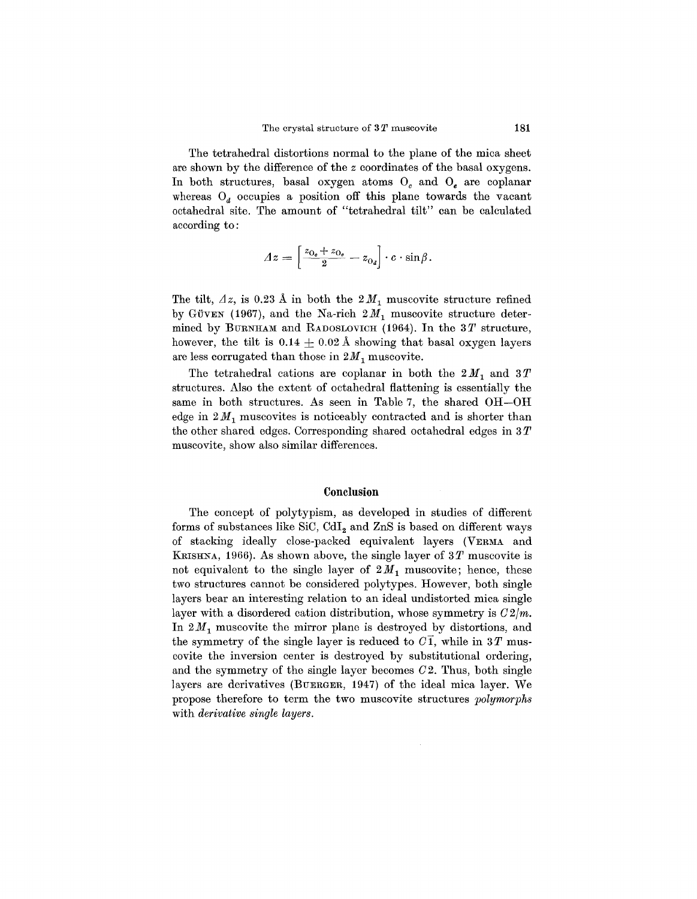The tetrahedral distortions normal to the plane of the mica sheet are shown by the difference of the *z* coordinates of the basal oxygens. In both structures, basal oxygen atoms  $O<sub>c</sub>$  and  $O<sub>e</sub>$  are coplanar whereas  $O_d$  occupies a position off this plane towards the vacant octahedral site. The amount of "tetrahedral tilt" can be calculated according to:

$$
\varDelta z = \left[\frac{z_{0_e} + z_{0_e}}{2} - z_{0_d}\right] \cdot c \cdot \sin \beta.
$$

The tilt,  $Az$ , is 0.23 Å in both the  $2M_1$  muscovite structure refined by GÜVEN (1967), and the Na-rich  $2M_1$  muscovite structure determined by BURNHAM and RADOSLOVICH(1964). In the *3T* structure, however, the tilt is  $0.14 \pm 0.02$  Å showing that basal oxygen layers are less corrugated than those in  $2M_1$  muscovite.

The tetrahedral cations are coplanar in both the  $2M_1$  and  $3T$ structures. Also the extent of octahedral flattening is essentially the same in both structures. As seen in Table 7, the shared OH-OH edge in  $2M_1$  muscovites is noticeably contracted and is shorter than the other shared edges. Corresponding shared octahedral edges in 3 *T* muscovite, show also similar differences.

#### **Conclusion**

The concept of polytypism, as developed in studies of different forms of substances like SiC,  $CdI<sub>2</sub>$  and  $ZnS$  is based on different ways of stacking ideally close-packed equivalent layers (VERMA and KRISHNA, 1966). As shown above, the single layer of *3T* muscovite is not equivalent to the single layer of  $2M_1$  muscovite; hence, these two structures cannot be considered polytypes. However, both single layers bear an interesting relation to an ideal undistorted mica single layer with a disordered cation distribution, whose symmetry is  $C2/m$ . In  $2M_1$  muscovite the mirror plane is destroyed by distortions, and the symmetry of the single layer is reduced to  $C\bar{T}$ , while in 3T muscovite the inversion center is destroyed by substitutional ordering, and the symmetry of the single layer becomes *02.* Thus, both single layers are derivatives (BUERGER, 1947) of the ideal mica layer. We propose therefore to term the two muscovite structures *polymorphs* with *derivative single layers.*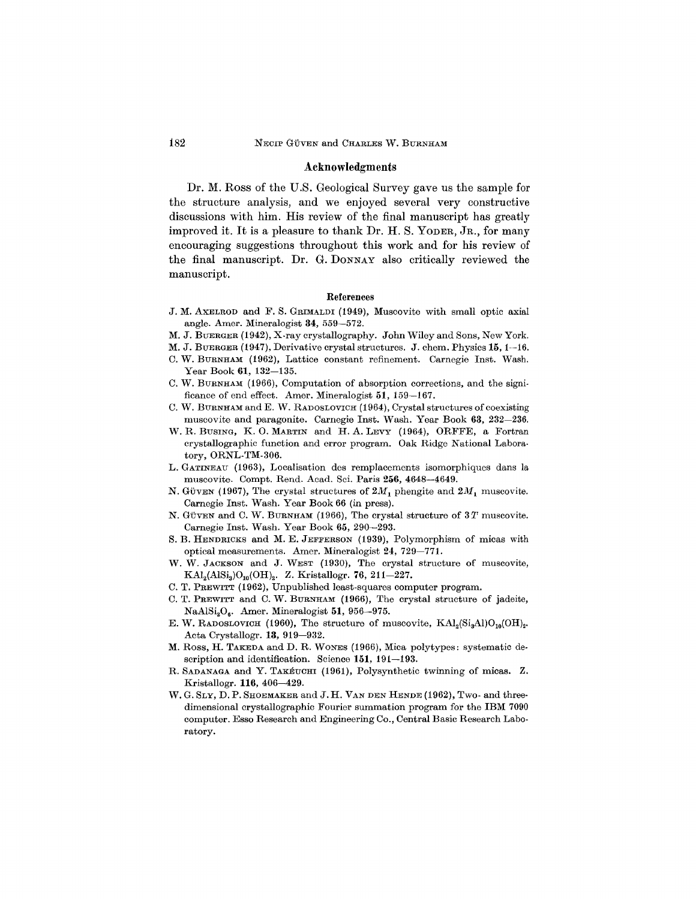#### Acknowledgments

Dr. M. Ross of the U.S. Geological Survey gave us the sample for the structure analysis, and we enjoyed several very constructive discussions with him. His review of the final manuscript has greatly improved it. It is a pleasure to thank Dr. H. S. YODER, JR., for many encouraging suggestions throughout this work and for his review of the final manuscript. Dr. G. DONNAY also critically reviewed the manuscript.

#### References

- J. M. AXELROD and F. S. GRIMALDI (1949), Muscovite with small optic axial angle. Amer. Mineralogist 34, 559-572.
- M. J. BUERGER (1942), X-ray crystallography. John Wiley and Sons, New York.
- M. J. BUERGER (1947), Derivative crystal structures. J. chern. Physics 15,1-16.
- C. W. BURNHAM (1962), Lattice constant refinement. Carnegie lnst. Wash. Year Book 61, 132-135.
- C. W. BURNHAM (1966), Computation of absorption corrections, and the significance of end effect. Amer. Mineralogist 51, 159-167.
- C. W. BURNHAM and E. W. RADOSLOVICH (1964), Crystal structures of coexisting muscovite and paragonite. Carnegie Inst. Wash. Year Book 63, 232–236.
- W. R. BUSING, K. 0. MARTIN and H. A. LEVY (1964), ORFFE, a Fortran crystallographic function and error program. Oak Ridge National Laboratory, ORNL-TM-306.
- L. GATINEAU (1963), Localisation des remplacements isomorphiques dans la muscovite. Compt. Rend. Acad. Sci. Paris 256, 4648-4649.
- N. GÜVEN (1967), The crystal structures of  $2M_1$  phengite and  $2M_1$  muscovite. Carnegie lnst. Wash. Year Book 66 (in press).
- N. GÜVEN and C. W. BURNHAM (1966), The crystal structure of  $3T$  muscovite. Carnegie lnst. Wash. Year Book 65, 290-293.
- S. B. HENDRICKS and M. E. JEFFERSON (1939), Polymorphism of micas with optical measurements. Amer. Mineralogist 24, 729-771.
- W. W. JACKSON and J. WEST (1930), The crystal structure of muscovite,  $\text{KAI}_{2}(\text{AISi}_{3})\text{O}_{10}(\text{OH})_{2}$ . Z. Kristallogr. 76, 211-227.
- C. T. PREWITT (1962), Unpublished least-squares computer program.
- C. T. PREWITT and C. W. BURNHAM (1966), The crystal structure of jadeite, NaAl $Si_2O_6$ . Amer. Mineralogist 51, 956-975.
- E. W. RADOSLOVICH (1960), The structure of muscovite,  $\text{KAl}_2(\text{Si}_3\text{Al})\text{O}_{10}(\text{OH})_2$ . Acta Crystallogr. 13, 919-932.
- M. Ross, H. TAKEDA and D. R. WONES (1966), Mica polytypes: systematic description and identification. Science 151, 191-193.
- R. SADANAGA and Y. TAKÉUCHI (1961), Polysynthetic twinning of micas. Z. Kristallogr. 116, 406-429.
- W. G. SLY, D. P. SHOEMAKER and J. H. VAN DEN HENDE (1962), Two- and threedimensional crystallographic Fourier summation program for the IBM 7090 computer. Esso Research and Engineering Co., Central Basic Research Laboratory.